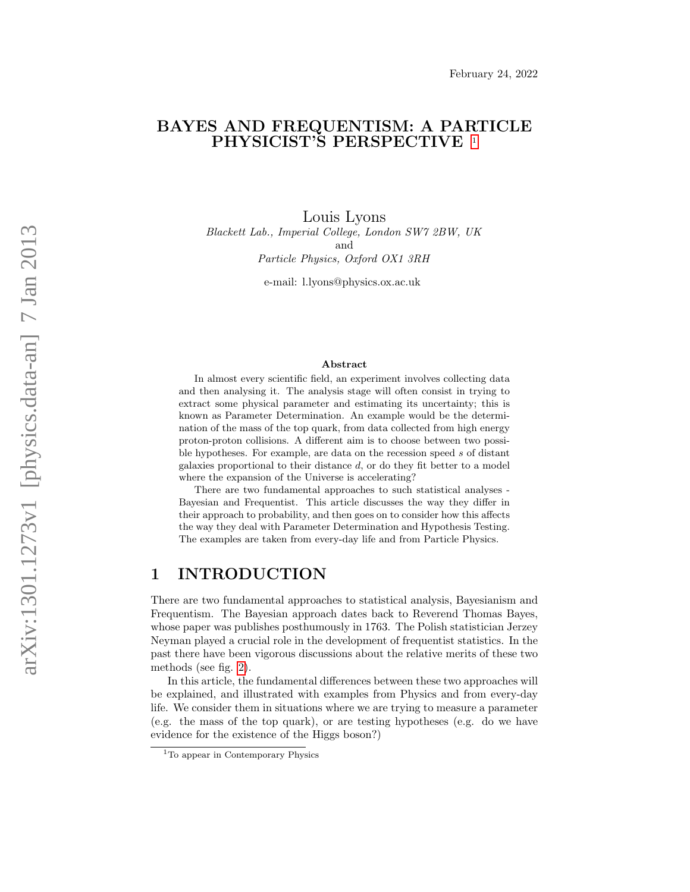# BAYES AND FREQUENTISM: A PARTICLE PHYSICIST'S PERSPECTIVE [1](#page-0-0)

Louis Lyons Blackett Lab., Imperial College, London SW7 2BW, UK and Particle Physics, Oxford OX1 3RH

e-mail: l.lyons@physics.ox.ac.uk

#### Abstract

In almost every scientific field, an experiment involves collecting data and then analysing it. The analysis stage will often consist in trying to extract some physical parameter and estimating its uncertainty; this is known as Parameter Determination. An example would be the determination of the mass of the top quark, from data collected from high energy proton-proton collisions. A different aim is to choose between two possible hypotheses. For example, are data on the recession speed s of distant galaxies proportional to their distance  $d$ , or do they fit better to a model where the expansion of the Universe is accelerating?

There are two fundamental approaches to such statistical analyses - Bayesian and Frequentist. This article discusses the way they differ in their approach to probability, and then goes on to consider how this affects the way they deal with Parameter Determination and Hypothesis Testing. The examples are taken from every-day life and from Particle Physics.

# 1 INTRODUCTION

There are two fundamental approaches to statistical analysis, Bayesianism and Frequentism. The Bayesian approach dates back to Reverend Thomas Bayes, whose paper was publishes posthumously in 1763. The Polish statistician Jerzey Neyman played a crucial role in the development of frequentist statistics. In the past there have been vigorous discussions about the relative merits of these two methods (see fig. [2\)](#page-2-0).

In this article, the fundamental differences between these two approaches will be explained, and illustrated with examples from Physics and from every-day life. We consider them in situations where we are trying to measure a parameter (e.g. the mass of the top quark), or are testing hypotheses (e.g. do we have evidence for the existence of the Higgs boson?)

<span id="page-0-0"></span><sup>1</sup>To appear in Contemporary Physics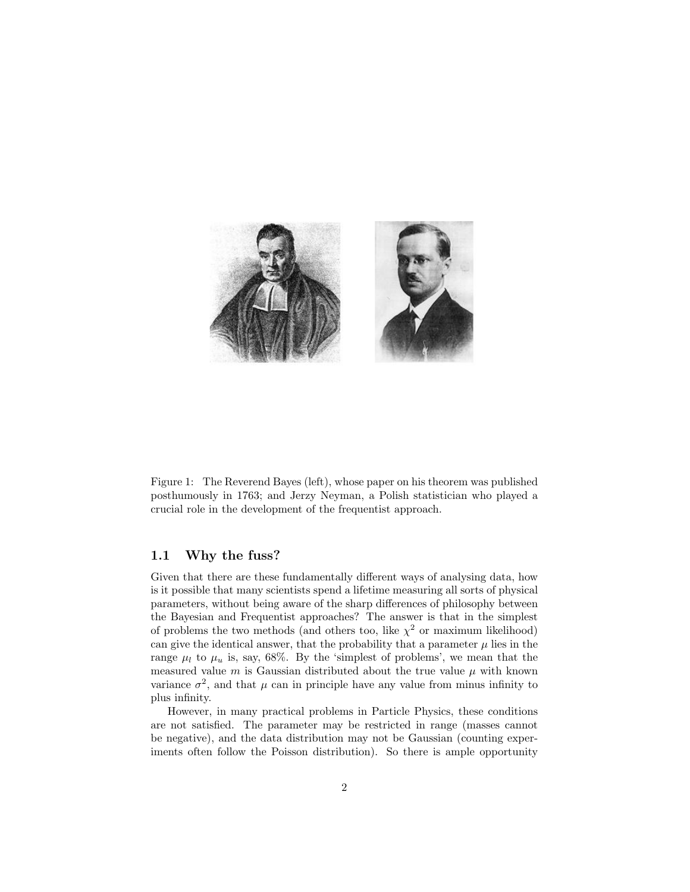

Figure 1: The Reverend Bayes (left), whose paper on his theorem was published posthumously in 1763; and Jerzy Neyman, a Polish statistician who played a crucial role in the development of the frequentist approach.

#### 1.1 Why the fuss?

Given that there are these fundamentally different ways of analysing data, how is it possible that many scientists spend a lifetime measuring all sorts of physical parameters, without being aware of the sharp differences of philosophy between the Bayesian and Frequentist approaches? The answer is that in the simplest of problems the two methods (and others too, like  $\chi^2$  or maximum likelihood) can give the identical answer, that the probability that a parameter  $\mu$  lies in the range  $\mu_l$  to  $\mu_u$  is, say, 68%. By the 'simplest of problems', we mean that the measured value  $m$  is Gaussian distributed about the true value  $\mu$  with known variance  $\sigma^2$ , and that  $\mu$  can in principle have any value from minus infinity to plus infinity.

However, in many practical problems in Particle Physics, these conditions are not satisfied. The parameter may be restricted in range (masses cannot be negative), and the data distribution may not be Gaussian (counting experiments often follow the Poisson distribution). So there is ample opportunity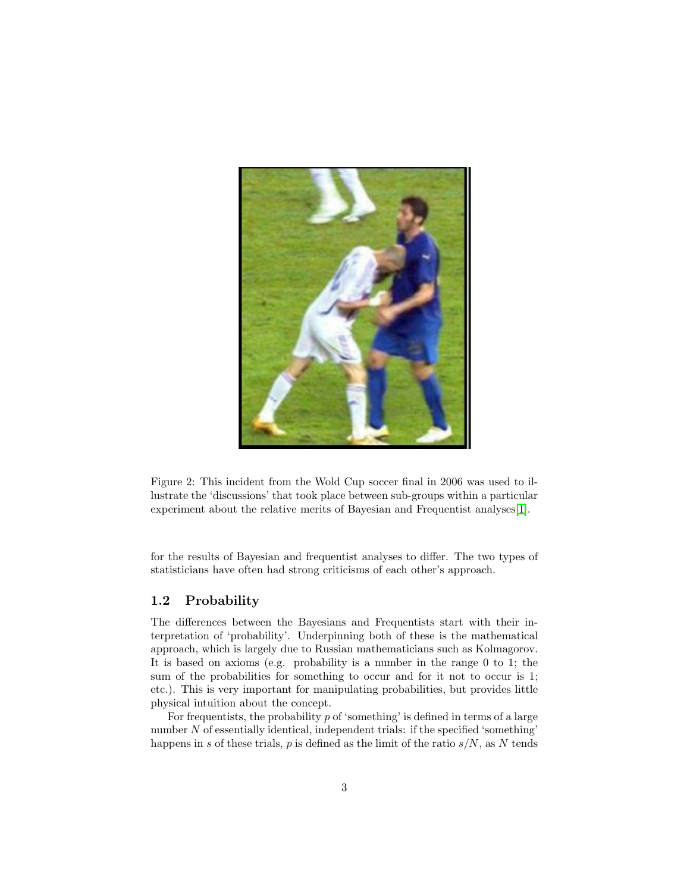

Figure 2: This incident from the Wold Cup soccer final in 2006 was used to illustrate the 'discussions' that took place between sub-groups within a particular experiment about the relative merits of Bayesian and Frequentist analyses[\[1\]](#page-28-0).

<span id="page-2-0"></span>for the results of Bayesian and frequentist analyses to differ. The two types of statisticians have often had strong criticisms of each other's approach.

## 1.2 Probability

The differences between the Bayesians and Frequentists start with their interpretation of 'probability'. Underpinning both of these is the mathematical approach, which is largely due to Russian mathematicians such as Kolmagorov. It is based on axioms (e.g. probability is a number in the range 0 to 1; the sum of the probabilities for something to occur and for it not to occur is 1; etc.). This is very important for manipulating probabilities, but provides little physical intuition about the concept.

For frequentists, the probability  $p$  of 'something' is defined in terms of a large number  $N$  of essentially identical, independent trials: if the specified 'something' happens in s of these trials,  $p$  is defined as the limit of the ratio  $s/N$ , as N tends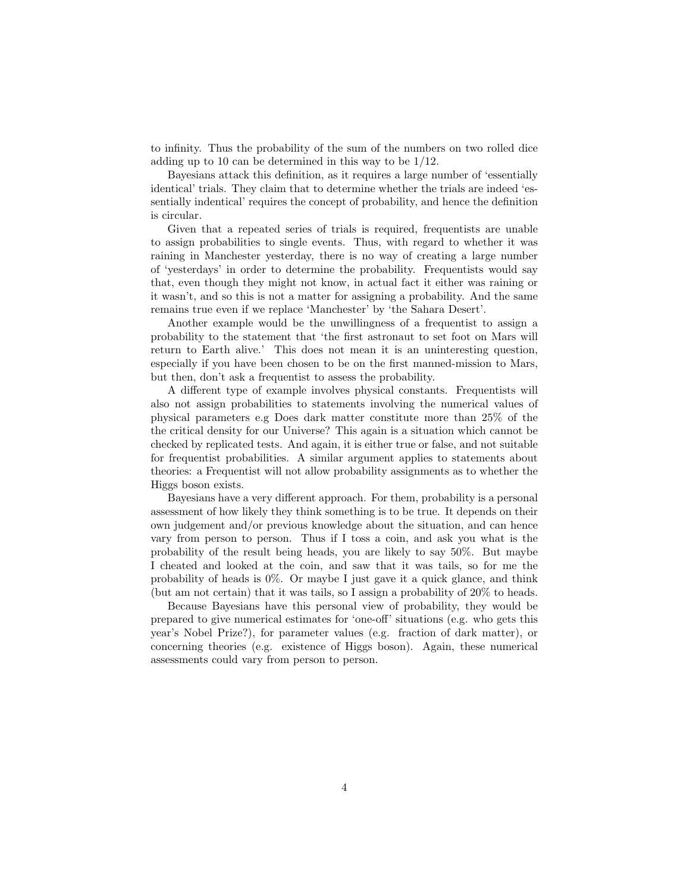to infinity. Thus the probability of the sum of the numbers on two rolled dice adding up to 10 can be determined in this way to be 1/12.

Bayesians attack this definition, as it requires a large number of 'essentially identical' trials. They claim that to determine whether the trials are indeed 'essentially indentical' requires the concept of probability, and hence the definition is circular.

Given that a repeated series of trials is required, frequentists are unable to assign probabilities to single events. Thus, with regard to whether it was raining in Manchester yesterday, there is no way of creating a large number of 'yesterdays' in order to determine the probability. Frequentists would say that, even though they might not know, in actual fact it either was raining or it wasn't, and so this is not a matter for assigning a probability. And the same remains true even if we replace 'Manchester' by 'the Sahara Desert'.

Another example would be the unwillingness of a frequentist to assign a probability to the statement that 'the first astronaut to set foot on Mars will return to Earth alive.' This does not mean it is an uninteresting question, especially if you have been chosen to be on the first manned-mission to Mars, but then, don't ask a frequentist to assess the probability.

A different type of example involves physical constants. Frequentists will also not assign probabilities to statements involving the numerical values of physical parameters e.g Does dark matter constitute more than 25% of the the critical density for our Universe? This again is a situation which cannot be checked by replicated tests. And again, it is either true or false, and not suitable for frequentist probabilities. A similar argument applies to statements about theories: a Frequentist will not allow probability assignments as to whether the Higgs boson exists.

Bayesians have a very different approach. For them, probability is a personal assessment of how likely they think something is to be true. It depends on their own judgement and/or previous knowledge about the situation, and can hence vary from person to person. Thus if I toss a coin, and ask you what is the probability of the result being heads, you are likely to say 50%. But maybe I cheated and looked at the coin, and saw that it was tails, so for me the probability of heads is 0%. Or maybe I just gave it a quick glance, and think (but am not certain) that it was tails, so I assign a probability of 20% to heads.

Because Bayesians have this personal view of probability, they would be prepared to give numerical estimates for 'one-off' situations (e.g. who gets this year's Nobel Prize?), for parameter values (e.g. fraction of dark matter), or concerning theories (e.g. existence of Higgs boson). Again, these numerical assessments could vary from person to person.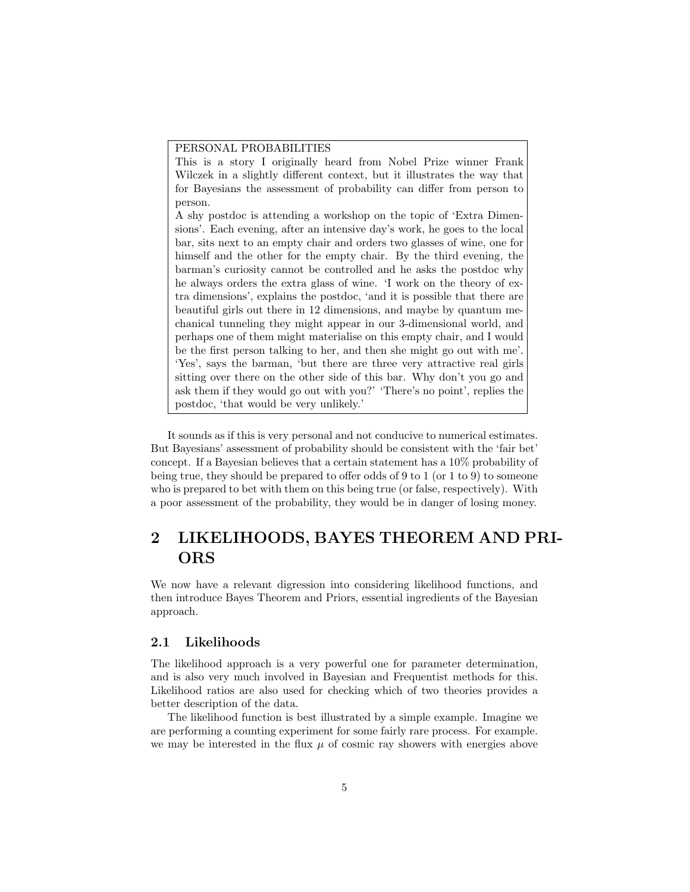#### PERSONAL PROBABILITIES

This is a story I originally heard from Nobel Prize winner Frank Wilczek in a slightly different context, but it illustrates the way that for Bayesians the assessment of probability can differ from person to person.

A shy postdoc is attending a workshop on the topic of 'Extra Dimensions'. Each evening, after an intensive day's work, he goes to the local bar, sits next to an empty chair and orders two glasses of wine, one for himself and the other for the empty chair. By the third evening, the barman's curiosity cannot be controlled and he asks the postdoc why he always orders the extra glass of wine. 'I work on the theory of extra dimensions', explains the postdoc, 'and it is possible that there are beautiful girls out there in 12 dimensions, and maybe by quantum mechanical tunneling they might appear in our 3-dimensional world, and perhaps one of them might materialise on this empty chair, and I would be the first person talking to her, and then she might go out with me'. 'Yes', says the barman, 'but there are three very attractive real girls sitting over there on the other side of this bar. Why don't you go and ask them if they would go out with you?' 'There's no point', replies the postdoc, 'that would be very unlikely.'

It sounds as if this is very personal and not conducive to numerical estimates. But Bayesians' assessment of probability should be consistent with the 'fair bet' concept. If a Bayesian believes that a certain statement has a 10% probability of being true, they should be prepared to offer odds of 9 to 1 (or 1 to 9) to someone who is prepared to bet with them on this being true (or false, respectively). With a poor assessment of the probability, they would be in danger of losing money.

# 2 LIKELIHOODS, BAYES THEOREM AND PRI-ORS

We now have a relevant digression into considering likelihood functions, and then introduce Bayes Theorem and Priors, essential ingredients of the Bayesian approach.

## <span id="page-4-0"></span>2.1 Likelihoods

The likelihood approach is a very powerful one for parameter determination, and is also very much involved in Bayesian and Frequentist methods for this. Likelihood ratios are also used for checking which of two theories provides a better description of the data.

The likelihood function is best illustrated by a simple example. Imagine we are performing a counting experiment for some fairly rare process. For example. we may be interested in the flux  $\mu$  of cosmic ray showers with energies above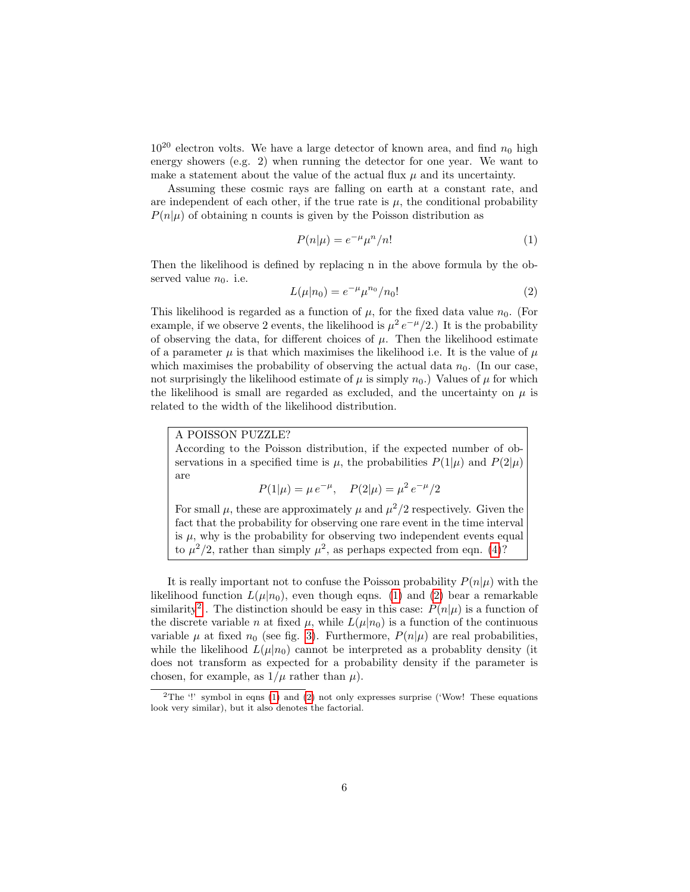$10^{20}$  electron volts. We have a large detector of known area, and find  $n_0$  high energy showers (e.g. 2) when running the detector for one year. We want to make a statement about the value of the actual flux  $\mu$  and its uncertainty.

Assuming these cosmic rays are falling on earth at a constant rate, and are independent of each other, if the true rate is  $\mu$ , the conditional probability  $P(n|\mu)$  of obtaining n counts is given by the Poisson distribution as

<span id="page-5-0"></span>
$$
P(n|\mu) = e^{-\mu} \mu^n/n! \tag{1}
$$

Then the likelihood is defined by replacing n in the above formula by the observed value  $n_0$ . i.e.

<span id="page-5-1"></span>
$$
L(\mu|n_0) = e^{-\mu} \mu^{n_0} / n_0!
$$
 (2)

This likelihood is regarded as a function of  $\mu$ , for the fixed data value  $n_0$ . (For example, if we observe 2 events, the likelihood is  $\mu^2 e^{-\mu}/2$ . It is the probability of observing the data, for different choices of  $\mu$ . Then the likelihood estimate of a parameter  $\mu$  is that which maximises the likelihood i.e. It is the value of  $\mu$ which maximises the probability of observing the actual data  $n_0$ . (In our case, not surprisingly the likelihood estimate of  $\mu$  is simply  $n_0$ .) Values of  $\mu$  for which the likelihood is small are regarded as excluded, and the uncertainty on  $\mu$  is related to the width of the likelihood distribution.

A POISSON PUZZLE?

According to the Poisson distribution, if the expected number of observations in a specified time is  $\mu$ , the probabilities  $P(1|\mu)$  and  $P(2|\mu)$ are

$$
P(1|\mu) = \mu e^{-\mu}, \quad P(2|\mu) = \mu^2 e^{-\mu}/2
$$

For small  $\mu$ , these are approximately  $\mu$  and  $\mu^2/2$  respectively. Given the fact that the probability for observing one rare event in the time interval is  $\mu$ , why is the probability for observing two independent events equal to  $\mu^2/2$ , rather than simply  $\mu^2$ , as perhaps expected from eqn. [\(4\)](#page-6-0)?

It is really important not to confuse the Poisson probability  $P(n|\mu)$  with the likelihood function  $L(\mu|n_0)$ , even though eqns. [\(1\)](#page-5-0) and [\(2\)](#page-5-1) bear a remarkable similarity<sup>[2](#page-5-2)</sup>. The distinction should be easy in this case:  $P(n|\mu)$  is a function of the discrete variable n at fixed  $\mu$ , while  $L(\mu|n_0)$  is a function of the continuous variable  $\mu$  at fixed  $n_0$  (see fig. [3\)](#page-6-1). Furthermore,  $P(n|\mu)$  are real probabilities, while the likelihood  $L(\mu|n_0)$  cannot be interpreted as a probablity density (it does not transform as expected for a probability density if the parameter is chosen, for example, as  $1/\mu$  rather than  $\mu$ ).

<span id="page-5-2"></span><sup>&</sup>lt;sup>2</sup>The '!' symbol in eqns [\(1\)](#page-5-0) and [\(2\)](#page-5-1) not only expresses surprise ('Wow! These equations look very similar), but it also denotes the factorial.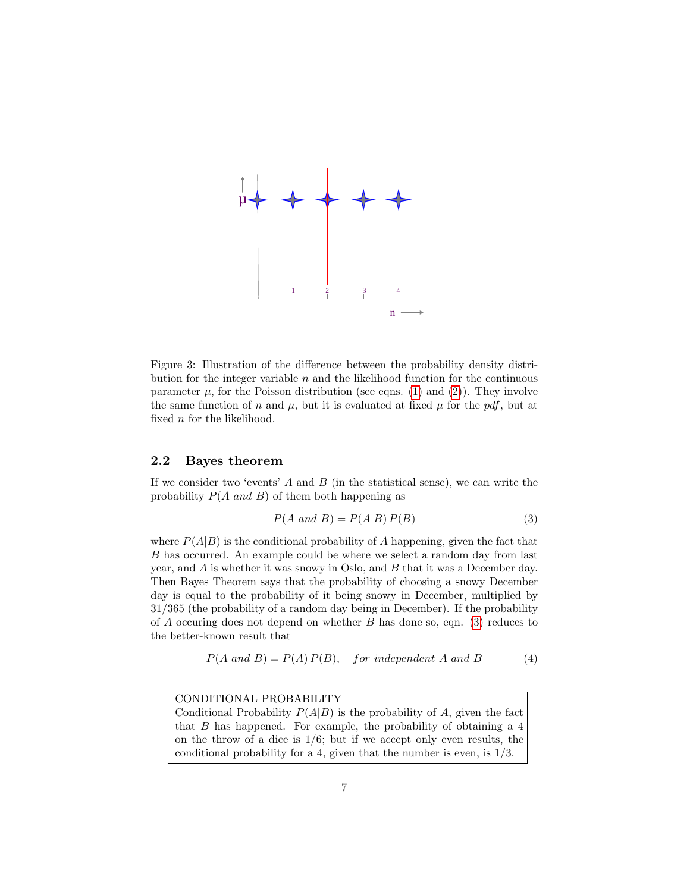

<span id="page-6-1"></span>Figure 3: Illustration of the difference between the probability density distribution for the integer variable  $n$  and the likelihood function for the continuous parameter  $\mu$ , for the Poisson distribution (see eqns. [\(1\)](#page-5-0) and [\(2\)](#page-5-1)). They involve the same function of n and  $\mu$ , but it is evaluated at fixed  $\mu$  for the pdf, but at fixed n for the likelihood.

## 2.2 Bayes theorem

If we consider two 'events'  $A$  and  $B$  (in the statistical sense), we can write the probability  $P(A \text{ and } B)$  of them both happening as

<span id="page-6-2"></span>
$$
P(A \text{ and } B) = P(A|B) P(B) \tag{3}
$$

where  $P(A|B)$  is the conditional probability of A happening, given the fact that B has occurred. An example could be where we select a random day from last year, and A is whether it was snowy in Oslo, and B that it was a December day. Then Bayes Theorem says that the probability of choosing a snowy December day is equal to the probability of it being snowy in December, multiplied by 31/365 (the probability of a random day being in December). If the probability of  $A$  occuring does not depend on whether  $B$  has done so, eqn. [\(3\)](#page-6-2) reduces to the better-known result that

<span id="page-6-0"></span>
$$
P(A \text{ and } B) = P(A) P(B), \quad \text{for independent } A \text{ and } B \tag{4}
$$

CONDITIONAL PROBABILITY Conditional Probability  $P(A|B)$  is the probability of A, given the fact that  $B$  has happened. For example, the probability of obtaining a  $4$ on the throw of a dice is  $1/6$ ; but if we accept only even results, the conditional probability for a 4, given that the number is even, is  $1/3$ .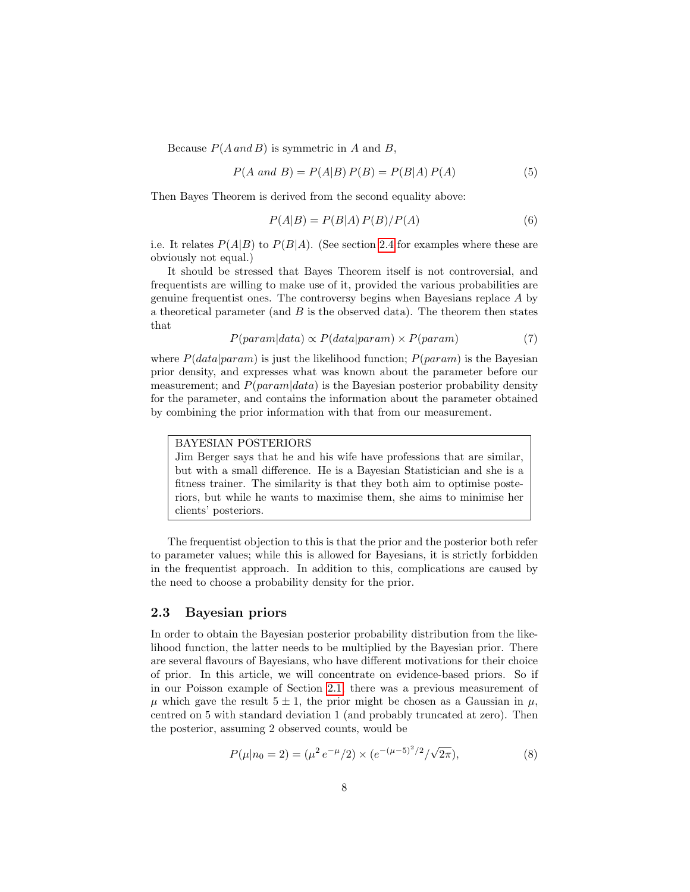Because  $P(A \text{ and } B)$  is symmetric in A and B,

$$
P(A \text{ and } B) = P(A|B) P(B) = P(B|A) P(A)
$$
 (5)

Then Bayes Theorem is derived from the second equality above:

$$
P(A|B) = P(B|A) P(B)/P(A)
$$
\n<sup>(6)</sup>

i.e. It relates  $P(A|B)$  to  $P(B|A)$ . (See section [2.4](#page-8-0) for examples where these are obviously not equal.)

It should be stressed that Bayes Theorem itself is not controversial, and frequentists are willing to make use of it, provided the various probabilities are genuine frequentist ones. The controversy begins when Bayesians replace A by a theoretical parameter (and  $B$  is the observed data). The theorem then states that

$$
P(param|data) \propto P(data|param) \times P(param)
$$
\n<sup>(7)</sup>

where  $P(data|param)$  is just the likelihood function;  $P(param)$  is the Bayesian prior density, and expresses what was known about the parameter before our measurement; and  $P(param|data)$  is the Bayesian posterior probability density for the parameter, and contains the information about the parameter obtained by combining the prior information with that from our measurement.

#### BAYESIAN POSTERIORS

Jim Berger says that he and his wife have professions that are similar, but with a small difference. He is a Bayesian Statistician and she is a fitness trainer. The similarity is that they both aim to optimise posteriors, but while he wants to maximise them, she aims to minimise her clients' posteriors.

The frequentist objection to this is that the prior and the posterior both refer to parameter values; while this is allowed for Bayesians, it is strictly forbidden in the frequentist approach. In addition to this, complications are caused by the need to choose a probability density for the prior.

## <span id="page-7-0"></span>2.3 Bayesian priors

In order to obtain the Bayesian posterior probability distribution from the likelihood function, the latter needs to be multiplied by the Bayesian prior. There are several flavours of Bayesians, who have different motivations for their choice of prior. In this article, we will concentrate on evidence-based priors. So if in our Poisson example of Section [2.1,](#page-4-0) there was a previous measurement of  $\mu$  which gave the result  $5 \pm 1$ , the prior might be chosen as a Gaussian in  $\mu$ , centred on 5 with standard deviation 1 (and probably truncated at zero). Then the posterior, assuming 2 observed counts, would be

$$
P(\mu|n_0 = 2) = (\mu^2 e^{-\mu}/2) \times (e^{-(\mu - 5)^2/2}/\sqrt{2\pi}),
$$
\n(8)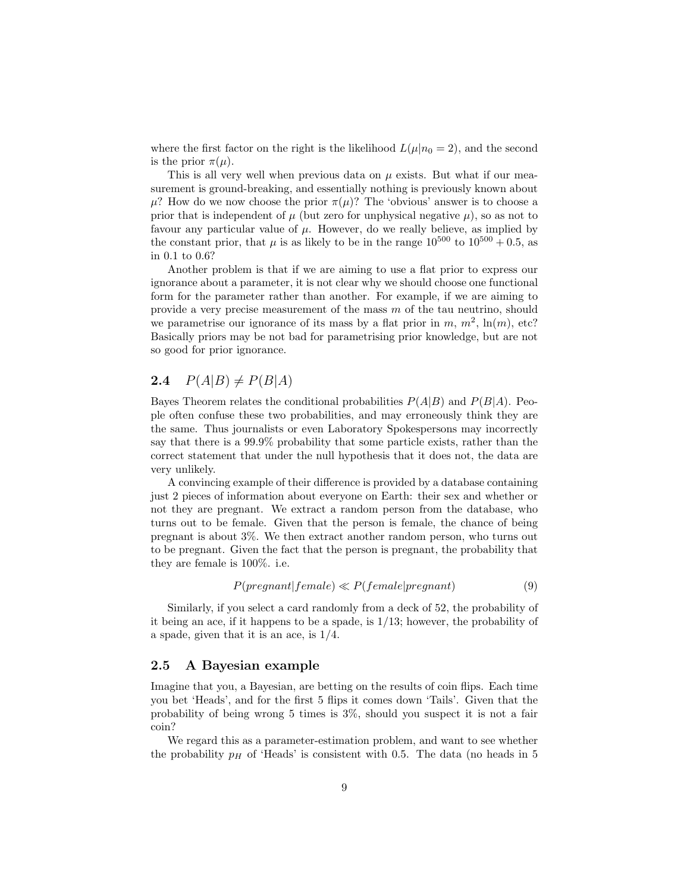where the first factor on the right is the likelihood  $L(\mu|n_0 = 2)$ , and the second is the prior  $\pi(\mu)$ .

This is all very well when previous data on  $\mu$  exists. But what if our measurement is ground-breaking, and essentially nothing is previously known about  $\mu$ ? How do we now choose the prior  $\pi(\mu)$ ? The 'obvious' answer is to choose a prior that is independent of  $\mu$  (but zero for unphysical negative  $\mu$ ), so as not to favour any particular value of  $\mu$ . However, do we really believe, as implied by the constant prior, that  $\mu$  is as likely to be in the range  $10^{500}$  to  $10^{500} + 0.5$ , as in 0.1 to 0.6?

Another problem is that if we are aiming to use a flat prior to express our ignorance about a parameter, it is not clear why we should choose one functional form for the parameter rather than another. For example, if we are aiming to provide a very precise measurement of the mass  $m$  of the tau neutrino, should we parametrise our ignorance of its mass by a flat prior in  $m, m^2$ ,  $\ln(m)$ , etc? Basically priors may be not bad for parametrising prior knowledge, but are not so good for prior ignorance.

# <span id="page-8-0"></span>2.4  $P(A|B) \neq P(B|A)$

Bayes Theorem relates the conditional probabilities  $P(A|B)$  and  $P(B|A)$ . People often confuse these two probabilities, and may erroneously think they are the same. Thus journalists or even Laboratory Spokespersons may incorrectly say that there is a 99.9% probability that some particle exists, rather than the correct statement that under the null hypothesis that it does not, the data are very unlikely.

A convincing example of their difference is provided by a database containing just 2 pieces of information about everyone on Earth: their sex and whether or not they are pregnant. We extract a random person from the database, who turns out to be female. Given that the person is female, the chance of being pregnant is about 3%. We then extract another random person, who turns out to be pregnant. Given the fact that the person is pregnant, the probability that they are female is 100%. i.e.

$$
P(pregnant|female) \ll P(female|pregnant)
$$
\n(9)

Similarly, if you select a card randomly from a deck of 52, the probability of it being an ace, if it happens to be a spade, is  $1/13$ ; however, the probability of a spade, given that it is an ace, is 1/4.

#### 2.5 A Bayesian example

Imagine that you, a Bayesian, are betting on the results of coin flips. Each time you bet 'Heads', and for the first 5 flips it comes down 'Tails'. Given that the probability of being wrong 5 times is 3%, should you suspect it is not a fair coin?

We regard this as a parameter-estimation problem, and want to see whether the probability  $p_H$  of 'Heads' is consistent with 0.5. The data (no heads in 5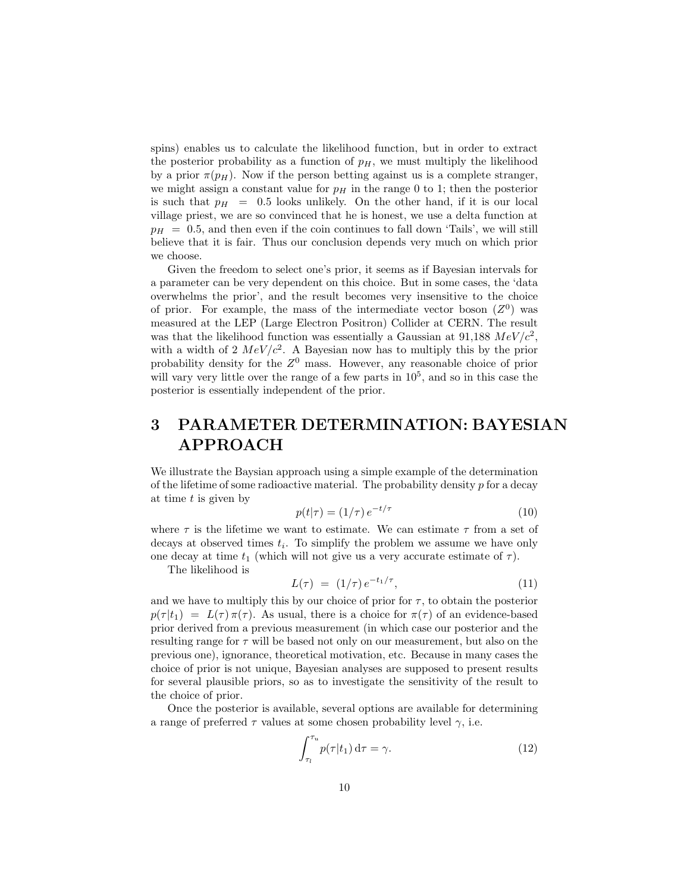spins) enables us to calculate the likelihood function, but in order to extract the posterior probability as a function of  $p<sub>H</sub>$ , we must multiply the likelihood by a prior  $\pi(p_H)$ . Now if the person betting against us is a complete stranger, we might assign a constant value for  $p<sub>H</sub>$  in the range 0 to 1; then the posterior is such that  $p_H = 0.5$  looks unlikely. On the other hand, if it is our local village priest, we are so convinced that he is honest, we use a delta function at  $p_H = 0.5$ , and then even if the coin continues to fall down 'Tails', we will still believe that it is fair. Thus our conclusion depends very much on which prior we choose.

Given the freedom to select one's prior, it seems as if Bayesian intervals for a parameter can be very dependent on this choice. But in some cases, the 'data overwhelms the prior', and the result becomes very insensitive to the choice of prior. For example, the mass of the intermediate vector boson  $(Z^0)$  was measured at the LEP (Large Electron Positron) Collider at CERN. The result was that the likelihood function was essentially a Gaussian at  $91,188$   $MeV/c^2$ , with a width of 2  $MeV/c^2$ . A Bayesian now has to multiply this by the prior probability density for the  $Z^0$  mass. However, any reasonable choice of prior will vary very little over the range of a few parts in  $10<sup>5</sup>$ , and so in this case the posterior is essentially independent of the prior.

# 3 PARAMETER DETERMINATION: BAYESIAN APPROACH

We illustrate the Baysian approach using a simple example of the determination of the lifetime of some radioactive material. The probability density  $p$  for a decay at time t is given by

<span id="page-9-1"></span>
$$
p(t|\tau) = (1/\tau) e^{-t/\tau} \tag{10}
$$

where  $\tau$  is the lifetime we want to estimate. We can estimate  $\tau$  from a set of decays at observed times  $t_i$ . To simplify the problem we assume we have only one decay at time  $t_1$  (which will not give us a very accurate estimate of  $\tau$ ).

The likelihood is

$$
L(\tau) = (1/\tau) e^{-t_1/\tau}, \tag{11}
$$

and we have to multiply this by our choice of prior for  $\tau$ , to obtain the posterior  $p(\tau | t_1) = L(\tau) \pi(\tau)$ . As usual, there is a choice for  $\pi(\tau)$  of an evidence-based prior derived from a previous measurement (in which case our posterior and the resulting range for  $\tau$  will be based not only on our measurement, but also on the previous one), ignorance, theoretical motivation, etc. Because in many cases the choice of prior is not unique, Bayesian analyses are supposed to present results for several plausible priors, so as to investigate the sensitivity of the result to the choice of prior.

Once the posterior is available, several options are available for determining a range of preferred  $\tau$  values at some chosen probability level  $\gamma$ , i.e.

<span id="page-9-0"></span>
$$
\int_{\tau_l}^{\tau_u} p(\tau | t_1) \, \mathrm{d}\tau = \gamma. \tag{12}
$$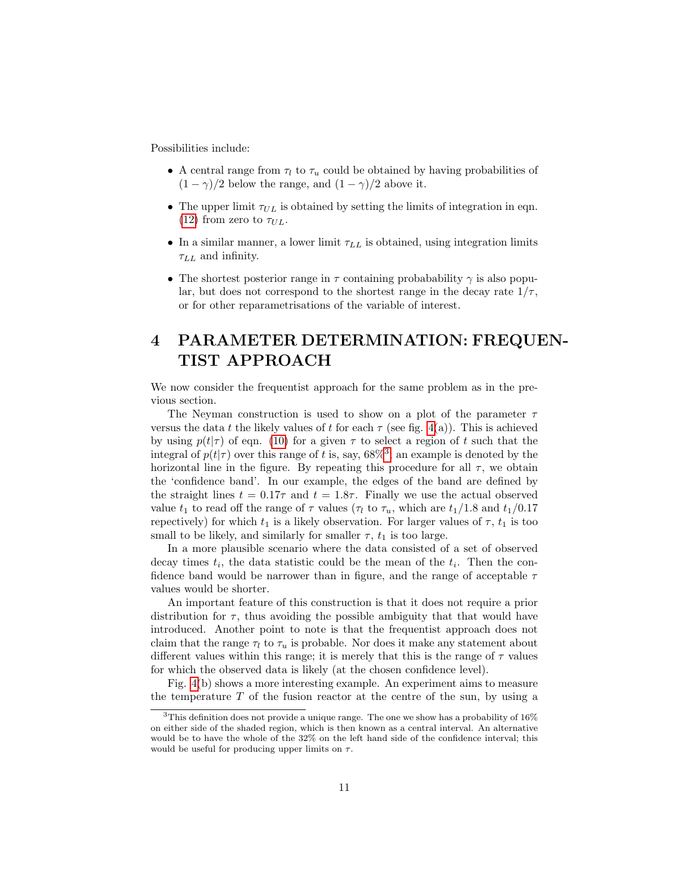Possibilities include:

- A central range from  $\tau_l$  to  $\tau_u$  could be obtained by having probabilities of  $(1 - \gamma)/2$  below the range, and  $(1 - \gamma)/2$  above it.
- The upper limit  $\tau_{UL}$  is obtained by setting the limits of integration in eqn. [\(12\)](#page-9-0) from zero to  $\tau_{UL}$ .
- In a similar manner, a lower limit  $\tau_{LL}$  is obtained, using integration limits  $\tau_{LL}$  and infinity.
- The shortest posterior range in  $\tau$  containing probabability  $\gamma$  is also popular, but does not correspond to the shortest range in the decay rate  $1/\tau$ , or for other reparametrisations of the variable of interest.

# 4 PARAMETER DETERMINATION: FREQUEN-TIST APPROACH

We now consider the frequentist approach for the same problem as in the previous section.

The Neyman construction is used to show on a plot of the parameter  $\tau$ versus the data t the likely values of t for each  $\tau$  (see fig. [4\(](#page-11-0)a)). This is achieved by using  $p(t|\tau)$  of eqn. [\(10\)](#page-9-1) for a given  $\tau$  to select a region of t such that the integral of  $p(t|\tau)$  over this range of t is, say,  $68\%$ <sup>[3](#page-10-0)</sup>; an example is denoted by the horizontal line in the figure. By repeating this procedure for all  $\tau$ , we obtain the 'confidence band'. In our example, the edges of the band are defined by the straight lines  $t = 0.17\tau$  and  $t = 1.8\tau$ . Finally we use the actual observed value  $t_1$  to read off the range of  $\tau$  values ( $\tau_l$  to  $\tau_u$ , which are  $t_1/1.8$  and  $t_1/0.17$ repectively) for which  $t_1$  is a likely observation. For larger values of  $\tau$ ,  $t_1$  is too small to be likely, and similarly for smaller  $\tau$ ,  $t_1$  is too large.

In a more plausible scenario where the data consisted of a set of observed decay times  $t_i$ , the data statistic could be the mean of the  $t_i$ . Then the confidence band would be narrower than in figure, and the range of acceptable  $\tau$ values would be shorter.

An important feature of this construction is that it does not require a prior distribution for  $\tau$ , thus avoiding the possible ambiguity that that would have introduced. Another point to note is that the frequentist approach does not claim that the range  $\tau_l$  to  $\tau_u$  is probable. Nor does it make any statement about different values within this range; it is merely that this is the range of  $\tau$  values for which the observed data is likely (at the chosen confidence level).

Fig. [4\(](#page-11-0)b) shows a more interesting example. An experiment aims to measure the temperature T of the fusion reactor at the centre of the sun, by using a

<span id="page-10-0"></span> $3$ This definition does not provide a unique range. The one we show has a probability of  $16\%$ on either side of the shaded region, which is then known as a central interval. An alternative would be to have the whole of the 32% on the left hand side of the confidence interval; this would be useful for producing upper limits on  $\tau$ .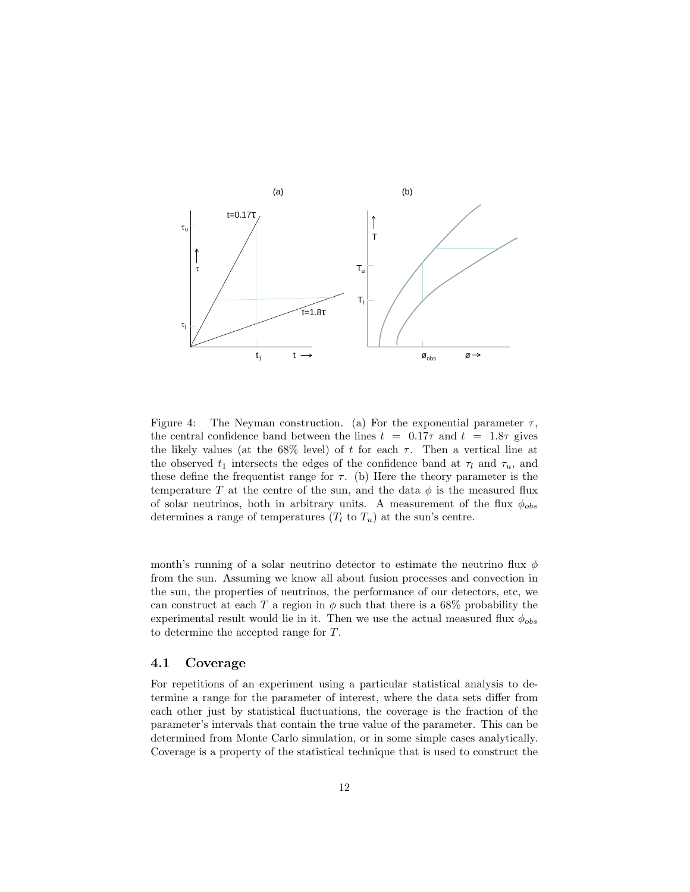

<span id="page-11-0"></span>Figure 4: The Neyman construction. (a) For the exponential parameter  $\tau$ , the central confidence band between the lines  $t = 0.17\tau$  and  $t = 1.8\tau$  gives the likely values (at the 68% level) of t for each  $\tau$ . Then a vertical line at the observed  $t_1$  intersects the edges of the confidence band at  $\tau_l$  and  $\tau_u$ , and these define the frequentist range for  $\tau$ . (b) Here the theory parameter is the temperature T at the centre of the sun, and the data  $\phi$  is the measured flux of solar neutrinos, both in arbitrary units. A measurement of the flux  $\phi_{obs}$ determines a range of temperatures  $(T_l \text{ to } T_u)$  at the sun's centre.

month's running of a solar neutrino detector to estimate the neutrino flux  $\phi$ from the sun. Assuming we know all about fusion processes and convection in the sun, the properties of neutrinos, the performance of our detectors, etc, we can construct at each T a region in  $\phi$  such that there is a 68% probability the experimental result would lie in it. Then we use the actual measured flux  $\phi_{obs}$ to determine the accepted range for T.

### <span id="page-11-1"></span>4.1 Coverage

For repetitions of an experiment using a particular statistical analysis to determine a range for the parameter of interest, where the data sets differ from each other just by statistical fluctuations, the coverage is the fraction of the parameter's intervals that contain the true value of the parameter. This can be determined from Monte Carlo simulation, or in some simple cases analytically. Coverage is a property of the statistical technique that is used to construct the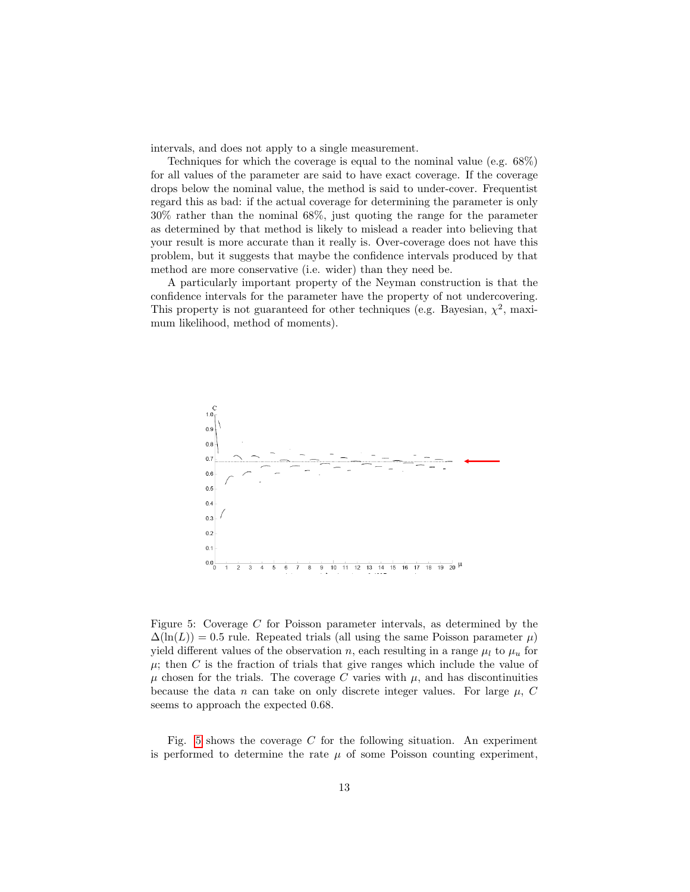intervals, and does not apply to a single measurement.

Techniques for which the coverage is equal to the nominal value (e.g. 68%) for all values of the parameter are said to have exact coverage. If the coverage drops below the nominal value, the method is said to under-cover. Frequentist regard this as bad: if the actual coverage for determining the parameter is only 30% rather than the nominal 68%, just quoting the range for the parameter as determined by that method is likely to mislead a reader into believing that your result is more accurate than it really is. Over-coverage does not have this problem, but it suggests that maybe the confidence intervals produced by that method are more conservative (i.e. wider) than they need be.

A particularly important property of the Neyman construction is that the confidence intervals for the parameter have the property of not undercovering. This property is not guaranteed for other techniques (e.g. Bayesian,  $\chi^2$ , maximum likelihood, method of moments).



<span id="page-12-0"></span>Figure 5: Coverage C for Poisson parameter intervals, as determined by the  $\Delta(\ln(L)) = 0.5$  rule. Repeated trials (all using the same Poisson parameter  $\mu$ ) yield different values of the observation n, each resulting in a range  $\mu_l$  to  $\mu_u$  for  $\mu$ ; then C is the fraction of trials that give ranges which include the value of  $\mu$  chosen for the trials. The coverage C varies with  $\mu$ , and has discontinuities because the data n can take on only discrete integer values. For large  $\mu$ , C seems to approach the expected 0.68.

Fig. [5](#page-12-0) shows the coverage  $C$  for the following situation. An experiment is performed to determine the rate  $\mu$  of some Poisson counting experiment,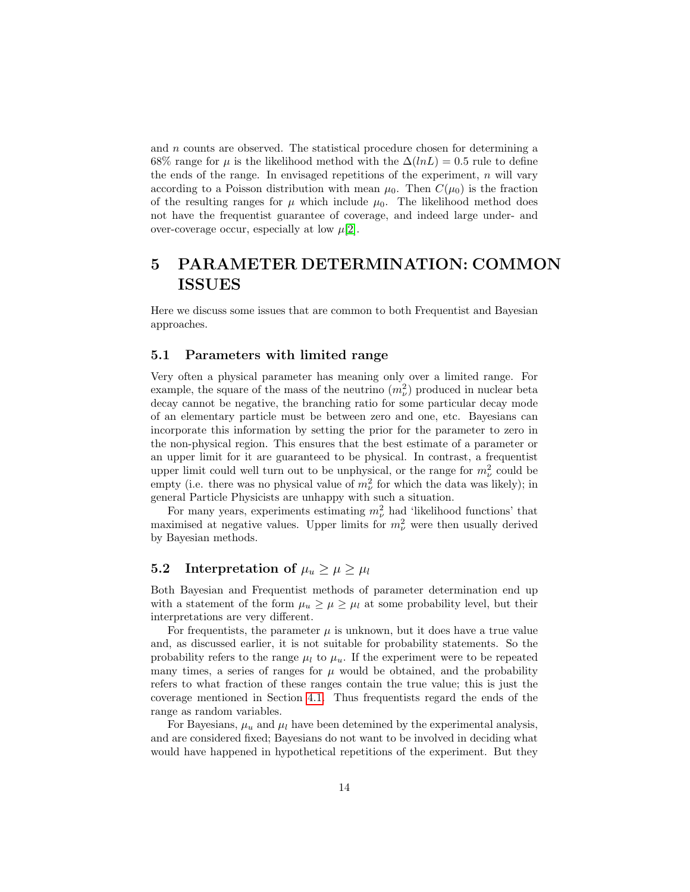and n counts are observed. The statistical procedure chosen for determining a 68% range for  $\mu$  is the likelihood method with the  $\Delta(lnL) = 0.5$  rule to define the ends of the range. In envisaged repetitions of the experiment,  $n$  will vary according to a Poisson distribution with mean  $\mu_0$ . Then  $C(\mu_0)$  is the fraction of the resulting ranges for  $\mu$  which include  $\mu_0$ . The likelihood method does not have the frequentist guarantee of coverage, and indeed large under- and over-coverage occur, especially at low  $\mu[2]$  $\mu[2]$ .

# 5 PARAMETER DETERMINATION: COMMON ISSUES

Here we discuss some issues that are common to both Frequentist and Bayesian approaches.

### 5.1 Parameters with limited range

Very often a physical parameter has meaning only over a limited range. For example, the square of the mass of the neutrino  $(m_{\nu}^2)$  produced in nuclear beta decay cannot be negative, the branching ratio for some particular decay mode of an elementary particle must be between zero and one, etc. Bayesians can incorporate this information by setting the prior for the parameter to zero in the non-physical region. This ensures that the best estimate of a parameter or an upper limit for it are guaranteed to be physical. In contrast, a frequentist upper limit could well turn out to be unphysical, or the range for  $m_{\nu}^2$  could be empty (i.e. there was no physical value of  $m_{\nu}^2$  for which the data was likely); in general Particle Physicists are unhappy with such a situation.

For many years, experiments estimating  $m_{\nu}^2$  had 'likelihood functions' that maximised at negative values. Upper limits for  $m_{\nu}^2$  were then usually derived by Bayesian methods.

## 5.2 Interpretation of  $\mu_u \geq \mu \geq \mu_l$

Both Bayesian and Frequentist methods of parameter determination end up with a statement of the form  $\mu_u \geq \mu \geq \mu_l$  at some probability level, but their interpretations are very different.

For frequentists, the parameter  $\mu$  is unknown, but it does have a true value and, as discussed earlier, it is not suitable for probability statements. So the probability refers to the range  $\mu_l$  to  $\mu_u$ . If the experiment were to be repeated many times, a series of ranges for  $\mu$  would be obtained, and the probability refers to what fraction of these ranges contain the true value; this is just the coverage mentioned in Section [4.1.](#page-11-1) Thus frequentists regard the ends of the range as random variables.

For Bayesians,  $\mu_u$  and  $\mu_l$  have been detemined by the experimental analysis, and are considered fixed; Bayesians do not want to be involved in deciding what would have happened in hypothetical repetitions of the experiment. But they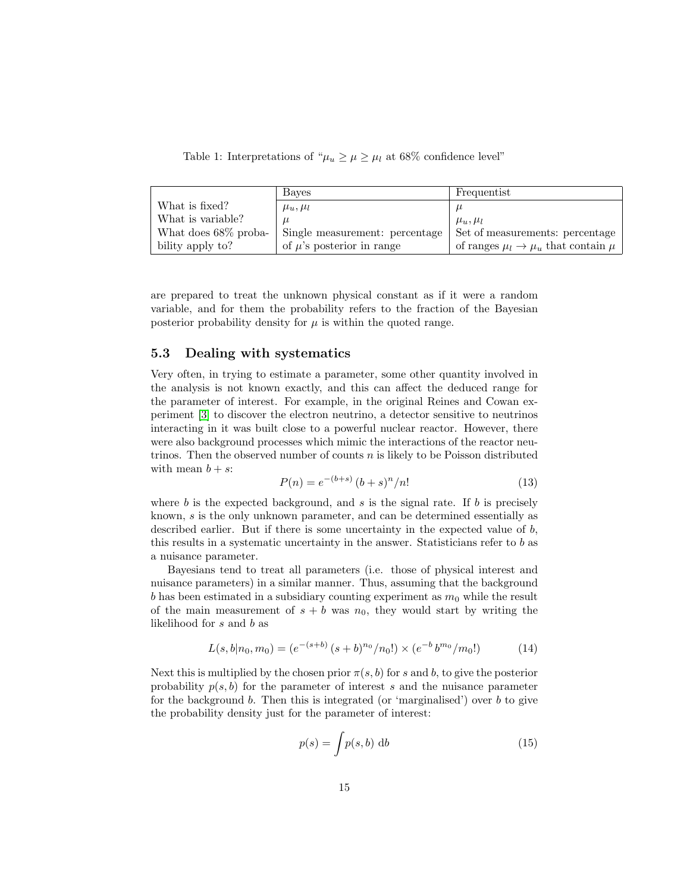Table 1: Interpretations of " $\mu_u \ge \mu \ge \mu_l$  at 68% confidence level"

|                       | Bayes                          | Frequentist                                    |
|-----------------------|--------------------------------|------------------------------------------------|
| What is fixed?        | $\mu_u, \mu_l$                 |                                                |
| What is variable?     | $\mu$                          | $\mu_u, \mu_l$                                 |
| What does 68\% proba- | Single measurement: percentage | Set of measurements: percentage                |
| bility apply to?      | of $\mu$ 's posterior in range | of ranges $\mu_l \to \mu_u$ that contain $\mu$ |

are prepared to treat the unknown physical constant as if it were a random variable, and for them the probability refers to the fraction of the Bayesian posterior probability density for  $\mu$  is within the quoted range.

## 5.3 Dealing with systematics

Very often, in trying to estimate a parameter, some other quantity involved in the analysis is not known exactly, and this can affect the deduced range for the parameter of interest. For example, in the original Reines and Cowan experiment [\[3\]](#page-28-2) to discover the electron neutrino, a detector sensitive to neutrinos interacting in it was built close to a powerful nuclear reactor. However, there were also background processes which mimic the interactions of the reactor neutrinos. Then the observed number of counts  $n$  is likely to be Poisson distributed with mean  $b + s$ :

$$
P(n) = e^{-(b+s)} (b+s)^n / n! \tag{13}
$$

where  $b$  is the expected background, and  $s$  is the signal rate. If  $b$  is precisely known, s is the only unknown parameter, and can be determined essentially as described earlier. But if there is some uncertainty in the expected value of  $b$ , this results in a systematic uncertainty in the answer. Statisticians refer to b as a nuisance parameter.

Bayesians tend to treat all parameters (i.e. those of physical interest and nuisance parameters) in a similar manner. Thus, assuming that the background b has been estimated in a subsidiary counting experiment as  $m_0$  while the result of the main measurement of  $s + b$  was  $n_0$ , they would start by writing the likelihood for s and b as

$$
L(s, b|n_0, m_0) = (e^{-(s+b)} (s+b)^{n_0}/n_0!) \times (e^{-b} b^{m_0}/m_0!) \tag{14}
$$

Next this is multiplied by the chosen prior  $\pi(s, b)$  for s and b, to give the posterior probability  $p(s, b)$  for the parameter of interest s and the nuisance parameter for the background  $b$ . Then this is integrated (or 'marginalised') over  $b$  to give the probability density just for the parameter of interest:

$$
p(s) = \int p(s, b) \, \mathrm{d}b \tag{15}
$$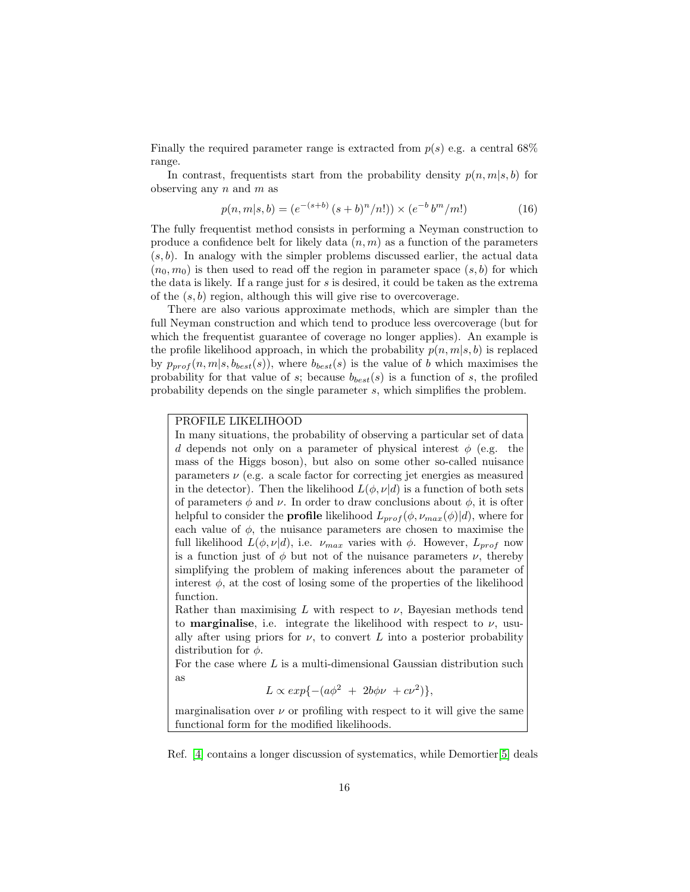Finally the required parameter range is extracted from  $p(s)$  e.g. a central 68% range.

In contrast, frequentists start from the probability density  $p(n, m|s, b)$  for observing any  $n$  and  $m$  as

$$
p(n,m|s,b) = (e^{-(s+b)} (s+b)^n/n!) \times (e^{-b} b^m/m!) \tag{16}
$$

The fully frequentist method consists in performing a Neyman construction to produce a confidence belt for likely data  $(n, m)$  as a function of the parameters  $(s, b)$ . In analogy with the simpler problems discussed earlier, the actual data  $(n_0, m_0)$  is then used to read off the region in parameter space  $(s, b)$  for which the data is likely. If a range just for s is desired, it could be taken as the extrema of the  $(s, b)$  region, although this will give rise to overcoverage.

There are also various approximate methods, which are simpler than the full Neyman construction and which tend to produce less overcoverage (but for which the frequentist guarantee of coverage no longer applies). An example is the profile likelihood approach, in which the probability  $p(n, m|s, b)$  is replaced by  $p_{prof}(n, m|s, b_{best}(s))$ , where  $b_{best}(s)$  is the value of b which maximises the probability for that value of s; because  $b_{best}(s)$  is a function of s, the profiled probability depends on the single parameter s, which simplifies the problem.

### PROFILE LIKELIHOOD

In many situations, the probability of observing a particular set of data d depends not only on a parameter of physical interest  $\phi$  (e.g. the mass of the Higgs boson), but also on some other so-called nuisance parameters  $\nu$  (e.g. a scale factor for correcting jet energies as measured in the detector). Then the likelihood  $L(\phi, \nu | d)$  is a function of both sets of parameters  $\phi$  and  $\nu$ . In order to draw conclusions about  $\phi$ , it is ofter helpful to consider the **profile** likelihood  $L_{prof}(\phi, \nu_{max}(\phi)|d)$ , where for each value of  $\phi$ , the nuisance parameters are chosen to maximise the full likelihood  $L(\phi, \nu | d)$ , i.e.  $\nu_{max}$  varies with  $\phi$ . However,  $L_{prof}$  now is a function just of  $\phi$  but not of the nuisance parameters  $\nu$ , thereby simplifying the problem of making inferences about the parameter of interest  $\phi$ , at the cost of losing some of the properties of the likelihood function.

Rather than maximising L with respect to  $\nu$ , Bayesian methods tend to **marginalise**, i.e. integrate the likelihood with respect to  $\nu$ , usually after using priors for  $\nu$ , to convert L into a posterior probability distribution for  $\phi$ .

For the case where  $L$  is a multi-dimensional Gaussian distribution such as

 $L \propto exp\{-(a\phi^2 + 2b\phi\nu + c\nu^2)\},\$ 

marginalisation over  $\nu$  or profiling with respect to it will give the same functional form for the modified likelihoods.

Ref. [\[4\]](#page-28-3) contains a longer discussion of systematics, while Demortier[\[5\]](#page-28-4) deals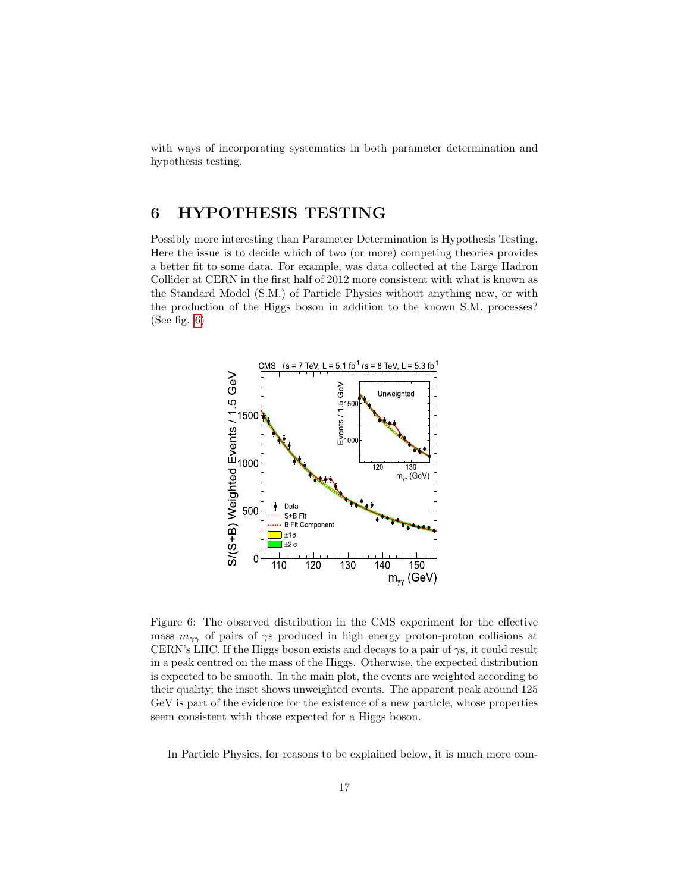with ways of incorporating systematics in both parameter determination and hypothesis testing.

# 6 HYPOTHESIS TESTING

Possibly more interesting than Parameter Determination is Hypothesis Testing. Here the issue is to decide which of two (or more) competing theories provides a better fit to some data. For example, was data collected at the Large Hadron Collider at CERN in the first half of 2012 more consistent with what is known as the Standard Model (S.M.) of Particle Physics without anything new, or with the production of the Higgs boson in addition to the known S.M. processes? (See fig.  $6$ )



<span id="page-16-0"></span>Figure 6: The observed distribution in the CMS experiment for the effective mass  $m_{\gamma\gamma}$  of pairs of  $\gamma$ s produced in high energy proton-proton collisions at CERN's LHC. If the Higgs boson exists and decays to a pair of  $\gamma s$ , it could result in a peak centred on the mass of the Higgs. Otherwise, the expected distribution is expected to be smooth. In the main plot, the events are weighted according to their quality; the inset shows unweighted events. The apparent peak around 125 GeV is part of the evidence for the existence of a new particle, whose properties seem consistent with those expected for a Higgs boson.

In Particle Physics, for reasons to be explained below, it is much more com-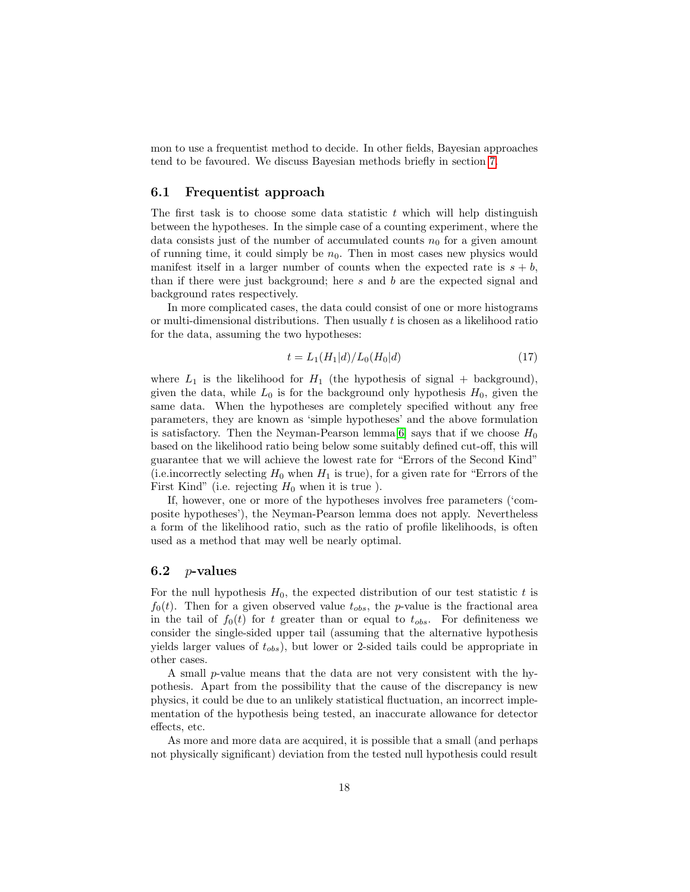mon to use a frequentist method to decide. In other fields, Bayesian approaches tend to be favoured. We discuss Bayesian methods briefly in section [7.](#page-23-0)

#### <span id="page-17-0"></span>6.1 Frequentist approach

The first task is to choose some data statistic  $t$  which will help distinguish between the hypotheses. In the simple case of a counting experiment, where the data consists just of the number of accumulated counts  $n_0$  for a given amount of running time, it could simply be  $n_0$ . Then in most cases new physics would manifest itself in a larger number of counts when the expected rate is  $s + b$ , than if there were just background; here  $s$  and  $b$  are the expected signal and background rates respectively.

In more complicated cases, the data could consist of one or more histograms or multi-dimensional distributions. Then usually  $t$  is chosen as a likelihood ratio for the data, assuming the two hypotheses:

$$
t = L_1(H_1|d)/L_0(H_0|d)
$$
\n(17)

where  $L_1$  is the likelihood for  $H_1$  (the hypothesis of signal + background), given the data, while  $L_0$  is for the background only hypothesis  $H_0$ , given the same data. When the hypotheses are completely specified without any free parameters, they are known as 'simple hypotheses' and the above formulation is satisfactory. Then the Neyman-Pearson lemma[\[6\]](#page-28-5) says that if we choose  $H_0$ based on the likelihood ratio being below some suitably defined cut-off, this will guarantee that we will achieve the lowest rate for "Errors of the Second Kind" (i.e. incorrectly selecting  $H_0$  when  $H_1$  is true), for a given rate for "Errors of the First Kind" (i.e. rejecting  $H_0$  when it is true).

If, however, one or more of the hypotheses involves free parameters ('composite hypotheses'), the Neyman-Pearson lemma does not apply. Nevertheless a form of the likelihood ratio, such as the ratio of profile likelihoods, is often used as a method that may well be nearly optimal.

### 6.2 p-values

For the null hypothesis  $H_0$ , the expected distribution of our test statistic t is  $f_0(t)$ . Then for a given observed value  $t_{obs}$ , the p-value is the fractional area in the tail of  $f_0(t)$  for t greater than or equal to  $t_{obs}$ . For definiteness we consider the single-sided upper tail (assuming that the alternative hypothesis yields larger values of  $t_{obs}$ ), but lower or 2-sided tails could be appropriate in other cases.

A small  $p$ -value means that the data are not very consistent with the hypothesis. Apart from the possibility that the cause of the discrepancy is new physics, it could be due to an unlikely statistical fluctuation, an incorrect implementation of the hypothesis being tested, an inaccurate allowance for detector effects, etc.

As more and more data are acquired, it is possible that a small (and perhaps not physically significant) deviation from the tested null hypothesis could result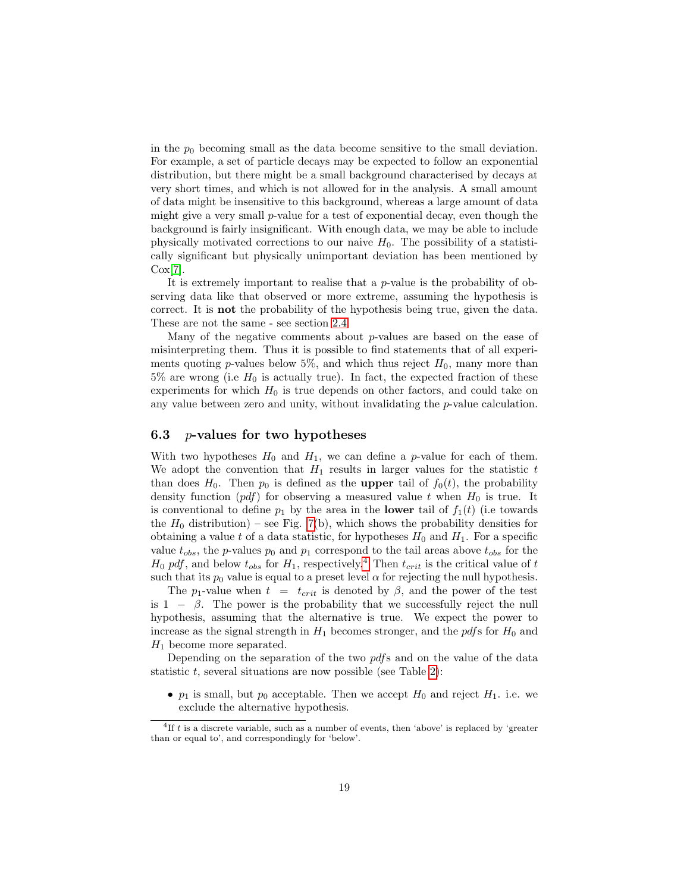in the  $p_0$  becoming small as the data become sensitive to the small deviation. For example, a set of particle decays may be expected to follow an exponential distribution, but there might be a small background characterised by decays at very short times, and which is not allowed for in the analysis. A small amount of data might be insensitive to this background, whereas a large amount of data might give a very small  $p$ -value for a test of exponential decay, even though the background is fairly insignificant. With enough data, we may be able to include physically motivated corrections to our naive  $H_0$ . The possibility of a statistically significant but physically unimportant deviation has been mentioned by  $Cox[7]$  $Cox[7]$ .

It is extremely important to realise that a  $p$ -value is the probability of observing data like that observed or more extreme, assuming the hypothesis is correct. It is not the probability of the hypothesis being true, given the data. These are not the same - see section [2.4.](#page-8-0)

Many of the negative comments about  $p$ -values are based on the ease of misinterpreting them. Thus it is possible to find statements that of all experiments quoting p-values below 5%, and which thus reject  $H_0$ , many more than  $5\%$  are wrong (i.e  $H_0$  is actually true). In fact, the expected fraction of these experiments for which  $H_0$  is true depends on other factors, and could take on any value between zero and unity, without invalidating the p-value calculation.

#### 6.3 *p*-values for two hypotheses

With two hypotheses  $H_0$  and  $H_1$ , we can define a p-value for each of them. We adopt the convention that  $H_1$  results in larger values for the statistic t than does  $H_0$ . Then  $p_0$  is defined as the **upper** tail of  $f_0(t)$ , the probability density function  $(pdf)$  for observing a measured value t when  $H_0$  is true. It is conventional to define  $p_1$  by the area in the **lower** tail of  $f_1(t)$  (i.e towards the  $H_0$  distribution) – see Fig. [7\(](#page-19-0)b), which shows the probability densities for obtaining a value t of a data statistic, for hypotheses  $H_0$  and  $H_1$ . For a specific value  $t_{obs}$ , the p-values  $p_0$  and  $p_1$  correspond to the tail areas above  $t_{obs}$  for the  $H_0$  pdf, and below  $t_{obs}$  for  $H_1$ , respectively.<sup>[4](#page-18-0)</sup> Then  $t_{crit}$  is the critical value of t such that its  $p_0$  value is equal to a preset level  $\alpha$  for rejecting the null hypothesis.

The p<sub>1</sub>-value when  $t = t_{crit}$  is denoted by  $\beta$ , and the power of the test is  $1 - \beta$ . The power is the probability that we successfully reject the null hypothesis, assuming that the alternative is true. We expect the power to increase as the signal strength in  $H_1$  becomes stronger, and the *pdf* s for  $H_0$  and  $H_1$  become more separated.

Depending on the separation of the two pdfs and on the value of the data statistic t, several situations are now possible (see Table [2\)](#page-20-0):

•  $p_1$  is small, but  $p_0$  acceptable. Then we accept  $H_0$  and reject  $H_1$ . i.e. we exclude the alternative hypothesis.

<span id="page-18-0"></span><sup>&</sup>lt;sup>4</sup>If  $t$  is a discrete variable, such as a number of events, then 'above' is replaced by 'greater than or equal to', and correspondingly for 'below'.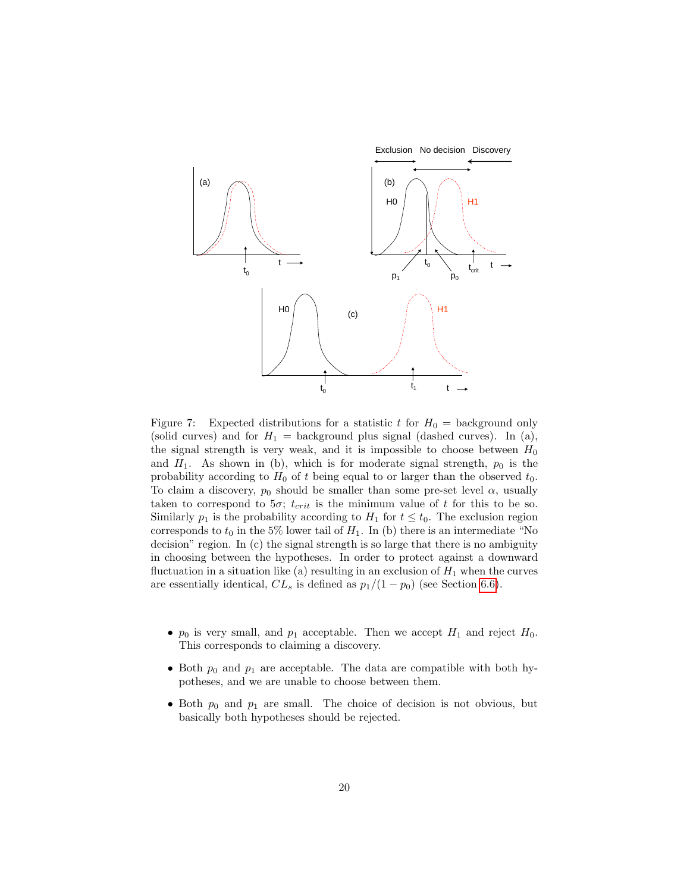

<span id="page-19-0"></span>Figure 7: Expected distributions for a statistic t for  $H_0 =$  background only (solid curves) and for  $H_1 =$  background plus signal (dashed curves). In (a), the signal strength is very weak, and it is impossible to choose between  $H_0$ and  $H_1$ . As shown in (b), which is for moderate signal strength,  $p_0$  is the probability according to  $H_0$  of t being equal to or larger than the observed  $t_0$ . To claim a discovery,  $p_0$  should be smaller than some pre-set level  $\alpha$ , usually taken to correspond to  $5\sigma$ ;  $t_{crit}$  is the minimum value of t for this to be so. Similarly  $p_1$  is the probability according to  $H_1$  for  $t \leq t_0$ . The exclusion region corresponds to  $t_0$  in the 5% lower tail of  $H_1$ . In (b) there is an intermediate "No decision" region. In (c) the signal strength is so large that there is no ambiguity in choosing between the hypotheses. In order to protect against a downward fluctuation in a situation like (a) resulting in an exclusion of  $H_1$  when the curves are essentially identical,  $CL_s$  is defined as  $p_1/(1 - p_0)$  (see Section [6.6\)](#page-23-1).

- $p_0$  is very small, and  $p_1$  acceptable. Then we accept  $H_1$  and reject  $H_0$ . This corresponds to claiming a discovery.
- Both  $p_0$  and  $p_1$  are acceptable. The data are compatible with both hypotheses, and we are unable to choose between them.
- Both  $p_0$  and  $p_1$  are small. The choice of decision is not obvious, but basically both hypotheses should be rejected.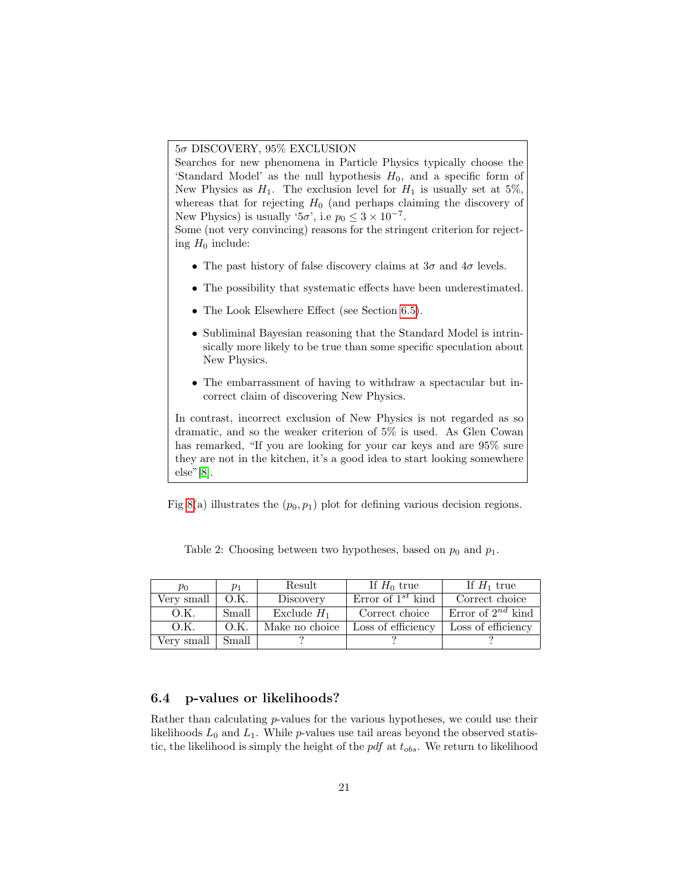#### 5σ DISCOVERY, 95% EXCLUSION

Searches for new phenomena in Particle Physics typically choose the 'Standard Model' as the null hypothesis  $H_0$ , and a specific form of New Physics as  $H_1$ . The exclusion level for  $H_1$  is usually set at 5%, whereas that for rejecting  $H_0$  (and perhaps claiming the discovery of New Physics) is usually ' $5\sigma$ ', i.e  $p_0 \leq 3 \times 10^{-7}$ .

Some (not very convincing) reasons for the stringent criterion for rejecting  $H_0$  include:

- The past history of false discovery claims at  $3\sigma$  and  $4\sigma$  levels.
- The possibility that systematic effects have been underestimated.
- The Look Elsewhere Effect (see Section [6.5\)](#page-22-0).
- Subliminal Bayesian reasoning that the Standard Model is intrinsically more likely to be true than some specific speculation about New Physics.
- The embarrassment of having to withdraw a spectacular but incorrect claim of discovering New Physics.

In contrast, incorrect exclusion of New Physics is not regarded as so dramatic, and so the weaker criterion of 5% is used. As Glen Cowan has remarked, "If you are looking for your car keys and are 95% sure they are not in the kitchen, it's a good idea to start looking somewhere else"[\[8\]](#page-28-7).

Fig [8\(](#page-21-0)a) illustrates the  $(p_0, p_1)$  plot for defining various decision regions.

<span id="page-20-0"></span>

|  |  |  |  | Table 2: Choosing between two hypotheses, based on $p_0$ and $p_1$ . |  |  |  |  |  |
|--|--|--|--|----------------------------------------------------------------------|--|--|--|--|--|
|--|--|--|--|----------------------------------------------------------------------|--|--|--|--|--|

| $p_0$      | $p_1$ | Result         | If $H_0$ true          | If $H_1$ true          |
|------------|-------|----------------|------------------------|------------------------|
| Very small | O.K.  | Discovery      | Error of $1^{st}$ kind | Correct choice         |
| O.K.       | Small | Exclude $H_1$  | Correct choice         | Error of $2^{nd}$ kind |
| O.K.       | O.K.  | Make no choice | Loss of efficiency     | Loss of efficiency     |
| Very small | Small |                |                        |                        |

### 6.4 p-values or likelihoods?

Rather than calculating *p*-values for the various hypotheses, we could use their likelihoods  $L_0$  and  $L_1$ . While p-values use tail areas beyond the observed statistic, the likelihood is simply the height of the  $pdf$  at  $t_{obs}$ . We return to likelihood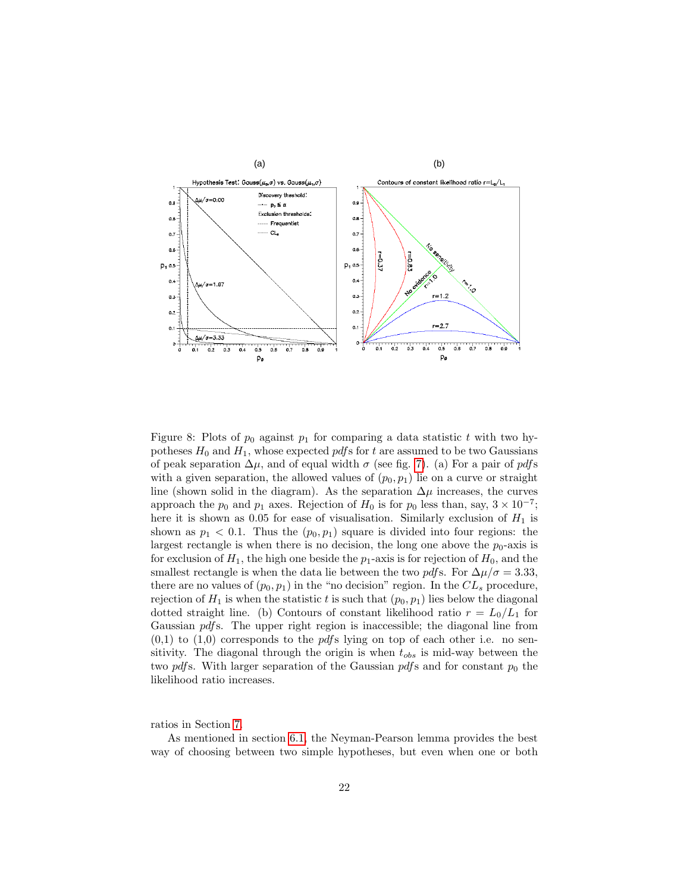

<span id="page-21-0"></span>Figure 8: Plots of  $p_0$  against  $p_1$  for comparing a data statistic t with two hypotheses  $H_0$  and  $H_1$ , whose expected pdfs for t are assumed to be two Gaussians of peak separation  $\Delta \mu$ , and of equal width  $\sigma$  (see fig. [7\)](#page-19-0). (a) For a pair of pdfs with a given separation, the allowed values of  $(p_0, p_1)$  lie on a curve or straight line (shown solid in the diagram). As the separation  $\Delta \mu$  increases, the curves approach the  $p_0$  and  $p_1$  axes. Rejection of  $H_0$  is for  $p_0$  less than, say,  $3 \times 10^{-7}$ ; here it is shown as 0.05 for ease of visualisation. Similarly exclusion of  $H_1$  is shown as  $p_1 < 0.1$ . Thus the  $(p_0, p_1)$  square is divided into four regions: the largest rectangle is when there is no decision, the long one above the  $p_0$ -axis is for exclusion of  $H_1$ , the high one beside the  $p_1$ -axis is for rejection of  $H_0$ , and the smallest rectangle is when the data lie between the two pdfs. For  $\Delta \mu / \sigma = 3.33$ , there are no values of  $(p_0, p_1)$  in the "no decision" region. In the  $CL_s$  procedure, rejection of  $H_1$  is when the statistic t is such that  $(p_0, p_1)$  lies below the diagonal dotted straight line. (b) Contours of constant likelihood ratio  $r = L_0/L_1$  for Gaussian pdfs. The upper right region is inaccessible; the diagonal line from  $(0,1)$  to  $(1,0)$  corresponds to the *pdfs* lying on top of each other i.e. no sensitivity. The diagonal through the origin is when  $t_{obs}$  is mid-way between the two pdfs. With larger separation of the Gaussian pdfs and for constant  $p_0$  the likelihood ratio increases.

ratios in Section [7.](#page-23-0)

As mentioned in section [6.1,](#page-17-0) the Neyman-Pearson lemma provides the best way of choosing between two simple hypotheses, but even when one or both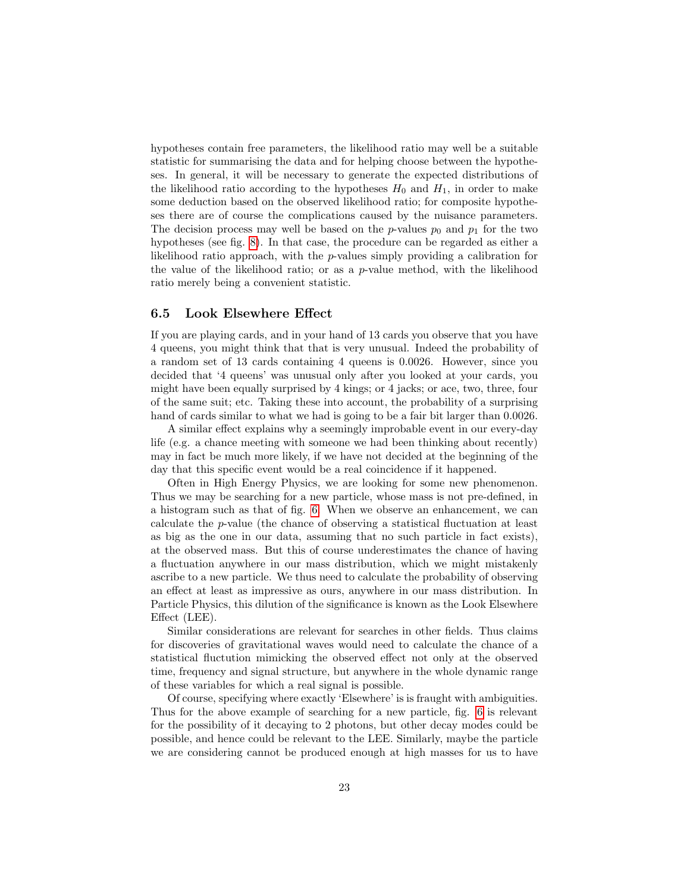hypotheses contain free parameters, the likelihood ratio may well be a suitable statistic for summarising the data and for helping choose between the hypotheses. In general, it will be necessary to generate the expected distributions of the likelihood ratio according to the hypotheses  $H_0$  and  $H_1$ , in order to make some deduction based on the observed likelihood ratio; for composite hypotheses there are of course the complications caused by the nuisance parameters. The decision process may well be based on the p-values  $p_0$  and  $p_1$  for the two hypotheses (see fig. [8\)](#page-21-0). In that case, the procedure can be regarded as either a likelihood ratio approach, with the p-values simply providing a calibration for the value of the likelihood ratio; or as a  $p$ -value method, with the likelihood ratio merely being a convenient statistic.

#### <span id="page-22-0"></span>6.5 Look Elsewhere Effect

If you are playing cards, and in your hand of 13 cards you observe that you have 4 queens, you might think that that is very unusual. Indeed the probability of a random set of 13 cards containing 4 queens is 0.0026. However, since you decided that '4 queens' was unusual only after you looked at your cards, you might have been equally surprised by 4 kings; or 4 jacks; or ace, two, three, four of the same suit; etc. Taking these into account, the probability of a surprising hand of cards similar to what we had is going to be a fair bit larger than 0.0026.

A similar effect explains why a seemingly improbable event in our every-day life (e.g. a chance meeting with someone we had been thinking about recently) may in fact be much more likely, if we have not decided at the beginning of the day that this specific event would be a real coincidence if it happened.

Often in High Energy Physics, we are looking for some new phenomenon. Thus we may be searching for a new particle, whose mass is not pre-defined, in a histogram such as that of fig. [6.](#page-16-0) When we observe an enhancement, we can calculate the p-value (the chance of observing a statistical fluctuation at least as big as the one in our data, assuming that no such particle in fact exists), at the observed mass. But this of course underestimates the chance of having a fluctuation anywhere in our mass distribution, which we might mistakenly ascribe to a new particle. We thus need to calculate the probability of observing an effect at least as impressive as ours, anywhere in our mass distribution. In Particle Physics, this dilution of the significance is known as the Look Elsewhere Effect (LEE).

Similar considerations are relevant for searches in other fields. Thus claims for discoveries of gravitational waves would need to calculate the chance of a statistical fluctution mimicking the observed effect not only at the observed time, frequency and signal structure, but anywhere in the whole dynamic range of these variables for which a real signal is possible.

Of course, specifying where exactly 'Elsewhere' is is fraught with ambiguities. Thus for the above example of searching for a new particle, fig. [6](#page-16-0) is relevant for the possibility of it decaying to 2 photons, but other decay modes could be possible, and hence could be relevant to the LEE. Similarly, maybe the particle we are considering cannot be produced enough at high masses for us to have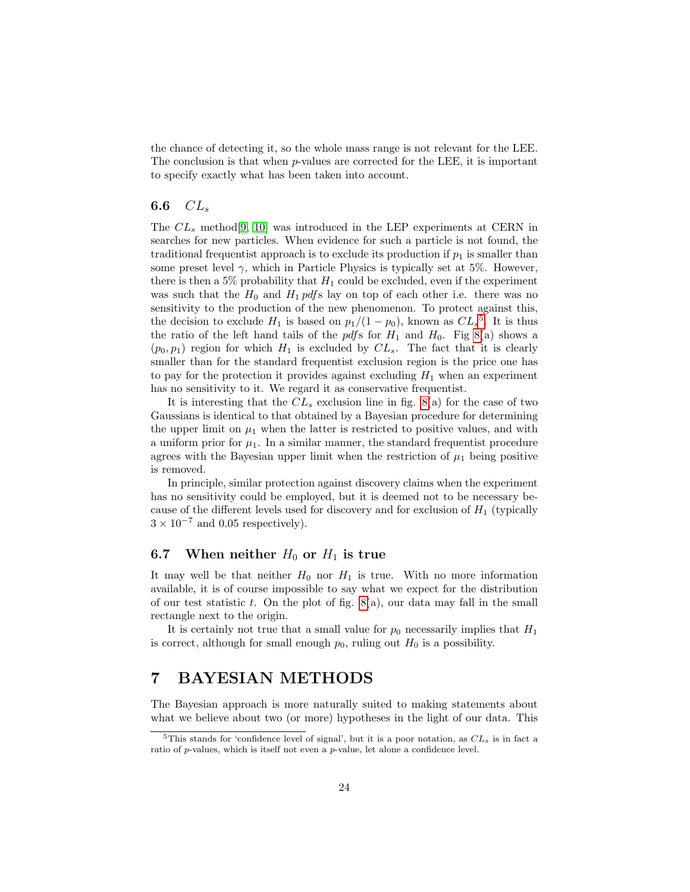the chance of detecting it, so the whole mass range is not relevant for the LEE. The conclusion is that when p-values are corrected for the LEE, it is important to specify exactly what has been taken into account.

### <span id="page-23-1"></span>6.6  $CL_s$

The  $CL_s$  method<sup>[9</sup>, 10<sup>]</sup> was introduced in the LEP experiments at CERN in searches for new particles. When evidence for such a particle is not found, the traditional frequentist approach is to exclude its production if  $p_1$  is smaller than some preset level  $\gamma$ , which in Particle Physics is typically set at 5%. However, there is then a 5% probability that  $H_1$  could be excluded, even if the experiment was such that the  $H_0$  and  $H_1$  pdfs lay on top of each other i.e. there was no sensitivity to the production of the new phenomenon. To protect against this, the decision to exclude  $H_1$  is based on  $p_1/(1-p_0)$ , known as  $CL_s^5$  $CL_s^5$ . It is thus the ratio of the left hand tails of the *pdfs* for  $H_1$  and  $H_0$ . Fig [8\(](#page-21-0)a) shows a  $(p_0, p_1)$  region for which  $H_1$  is excluded by  $CL_s$ . The fact that it is clearly smaller than for the standard frequentist exclusion region is the price one has to pay for the protection it provides against excluding  $H_1$  when an experiment has no sensitivity to it. We regard it as conservative frequentist.

It is interesting that the  $CL<sub>s</sub>$  exclusion line in fig.  $8(a)$  for the case of two Gaussians is identical to that obtained by a Bayesian procedure for determining the upper limit on  $\mu_1$  when the latter is restricted to positive values, and with a uniform prior for  $\mu_1$ . In a similar manner, the standard frequentist procedure agrees with the Bayesian upper limit when the restriction of  $\mu_1$  being positive is removed.

In principle, similar protection against discovery claims when the experiment has no sensitivity could be employed, but it is deemed not to be necessary because of the different levels used for discovery and for exclusion of  $H_1$  (typically  $3 \times 10^{-7}$  and 0.05 respectively).

## 6.7 When neither  $H_0$  or  $H_1$  is true

It may well be that neither  $H_0$  nor  $H_1$  is true. With no more information available, it is of course impossible to say what we expect for the distribution of our test statistic t. On the plot of fig.  $8(a)$ , our data may fall in the small rectangle next to the origin.

It is certainly not true that a small value for  $p_0$  necessarily implies that  $H_1$ is correct, although for small enough  $p_0$ , ruling out  $H_0$  is a possibility.

# <span id="page-23-0"></span>7 BAYESIAN METHODS

The Bayesian approach is more naturally suited to making statements about what we believe about two (or more) hypotheses in the light of our data. This

<span id="page-23-2"></span> $\overline{5}$ This stands for 'confidence level of signal', but it is a poor notation, as  $CL_s$  is in fact a ratio of p-values, which is itself not even a p-value, let alone a confidence level.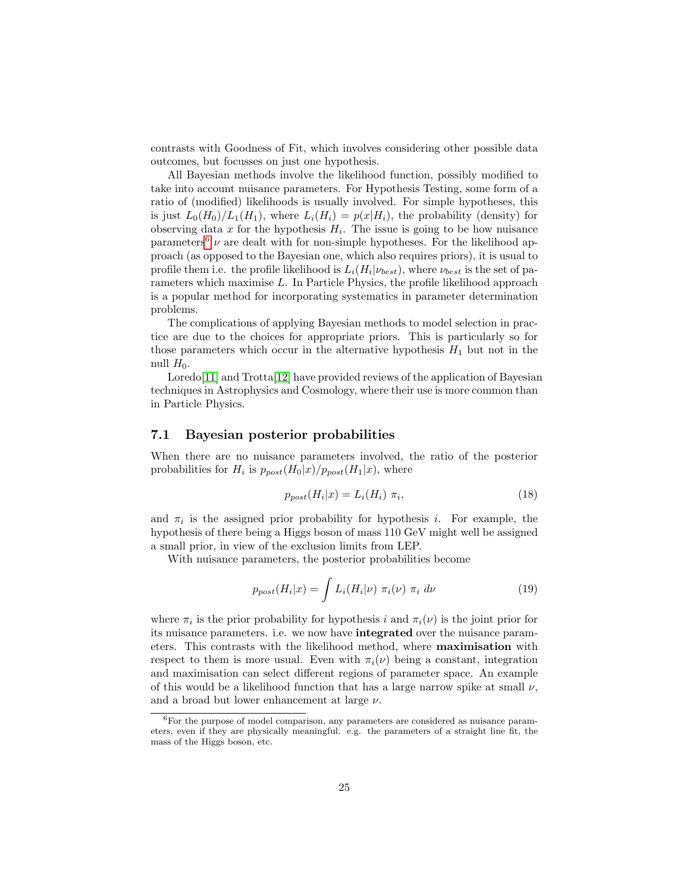contrasts with Goodness of Fit, which involves considering other possible data outcomes, but focusses on just one hypothesis.

All Bayesian methods involve the likelihood function, possibly modified to take into account nuisance parameters. For Hypothesis Testing, some form of a ratio of (modified) likelihoods is usually involved. For simple hypotheses, this is just  $L_0(H_0)/L_1(H_1)$ , where  $L_i(H_i) = p(x|H_i)$ , the probability (density) for observing data  $x$  for the hypothesis  $H_i$ . The issue is going to be how nuisance parameters<sup>[6](#page-24-0)</sup>  $\nu$  are dealt with for non-simple hypotheses. For the likelihood approach (as opposed to the Bayesian one, which also requires priors), it is usual to profile them i.e. the profile likelihood is  $L_i(H_i|\nu_{best})$ , where  $\nu_{best}$  is the set of parameters which maximise L. In Particle Physics, the profile likelihood approach is a popular method for incorporating systematics in parameter determination problems.

The complications of applying Bayesian methods to model selection in practice are due to the choices for appropriate priors. This is particularly so for those parameters which occur in the alternative hypothesis  $H_1$  but not in the null  $H_0$ .

Loredo[\[11\]](#page-29-1) and Trotta[\[12\]](#page-29-2) have provided reviews of the application of Bayesian techniques in Astrophysics and Cosmology, where their use is more common than in Particle Physics.

### 7.1 Bayesian posterior probabilities

When there are no nuisance parameters involved, the ratio of the posterior probabilities for  $H_i$  is  $p_{post}(H_0|x)/p_{post}(H_1|x)$ , where

$$
p_{post}(H_i|x) = L_i(H_i) \ \pi_i,\tag{18}
$$

and  $\pi_i$  is the assigned prior probability for hypothesis i. For example, the hypothesis of there being a Higgs boson of mass 110 GeV might well be assigned a small prior, in view of the exclusion limits from LEP.

With nuisance parameters, the posterior probabilities become

$$
p_{post}(H_i|x) = \int L_i(H_i|\nu) \ \pi_i(\nu) \ \pi_i \ d\nu \tag{19}
$$

where  $\pi_i$  is the prior probability for hypothesis i and  $\pi_i(\nu)$  is the joint prior for its nuisance parameters. i.e. we now have integrated over the nuisance parameters. This contrasts with the likelihood method, where maximisation with respect to them is more usual. Even with  $\pi_i(\nu)$  being a constant, integration and maximisation can select different regions of parameter space. An example of this would be a likelihood function that has a large narrow spike at small  $\nu$ , and a broad but lower enhancement at large  $\nu$ .

<span id="page-24-0"></span> ${}^{6}$ For the purpose of model comparison, any parameters are considered as nuisance parameters, even if they are physically meaningful. e.g. the parameters of a straight line fit, the mass of the Higgs boson, etc.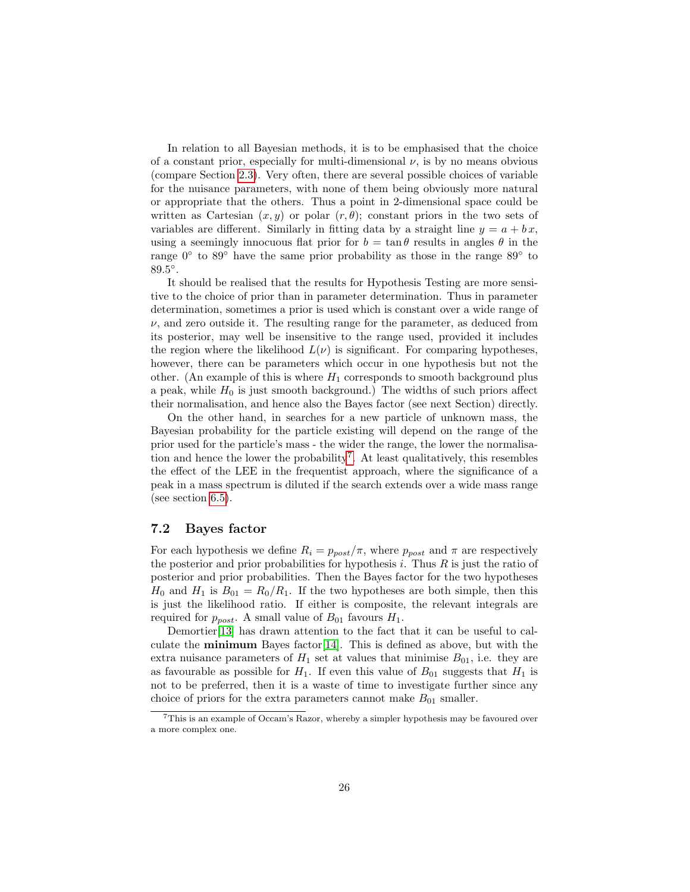In relation to all Bayesian methods, it is to be emphasised that the choice of a constant prior, especially for multi-dimensional  $\nu$ , is by no means obvious (compare Section [2.3\)](#page-7-0). Very often, there are several possible choices of variable for the nuisance parameters, with none of them being obviously more natural or appropriate that the others. Thus a point in 2-dimensional space could be written as Cartesian  $(x, y)$  or polar  $(r, \theta)$ ; constant priors in the two sets of variables are different. Similarly in fitting data by a straight line  $y = a + bx$ , using a seemingly innocuous flat prior for  $b = \tan \theta$  results in angles  $\theta$  in the range 0° to 89° have the same prior probability as those in the range 89° to 89.5°.

It should be realised that the results for Hypothesis Testing are more sensitive to the choice of prior than in parameter determination. Thus in parameter determination, sometimes a prior is used which is constant over a wide range of  $\nu$ , and zero outside it. The resulting range for the parameter, as deduced from its posterior, may well be insensitive to the range used, provided it includes the region where the likelihood  $L(\nu)$  is significant. For comparing hypotheses, however, there can be parameters which occur in one hypothesis but not the other. (An example of this is where  $H_1$  corresponds to smooth background plus a peak, while  $H_0$  is just smooth background.) The widths of such priors affect their normalisation, and hence also the Bayes factor (see next Section) directly.

On the other hand, in searches for a new particle of unknown mass, the Bayesian probability for the particle existing will depend on the range of the prior used for the particle's mass - the wider the range, the lower the normalisa-tion and hence the lower the probability<sup>[7](#page-25-0)</sup>. At least qualitatively, this resembles the effect of the LEE in the frequentist approach, where the significance of a peak in a mass spectrum is diluted if the search extends over a wide mass range (see section [6.5\)](#page-22-0).

#### 7.2 Bayes factor

For each hypothesis we define  $R_i = p_{post}/\pi$ , where  $p_{post}$  and  $\pi$  are respectively the posterior and prior probabilities for hypothesis i. Thus  $R$  is just the ratio of posterior and prior probabilities. Then the Bayes factor for the two hypotheses  $H_0$  and  $H_1$  is  $B_{01} = R_0/R_1$ . If the two hypotheses are both simple, then this is just the likelihood ratio. If either is composite, the relevant integrals are required for  $p_{post}$ . A small value of  $B_{01}$  favours  $H_1$ .

Demortier[\[13\]](#page-29-3) has drawn attention to the fact that it can be useful to calculate the **minimum** Bayes factor  $[14]$ . This is defined as above, but with the extra nuisance parameters of  $H_1$  set at values that minimise  $B_{01}$ , i.e. they are as favourable as possible for  $H_1$ . If even this value of  $B_{01}$  suggests that  $H_1$  is not to be preferred, then it is a waste of time to investigate further since any choice of priors for the extra parameters cannot make  $B_{01}$  smaller.

<span id="page-25-0"></span><sup>7</sup>This is an example of Occam's Razor, whereby a simpler hypothesis may be favoured over a more complex one.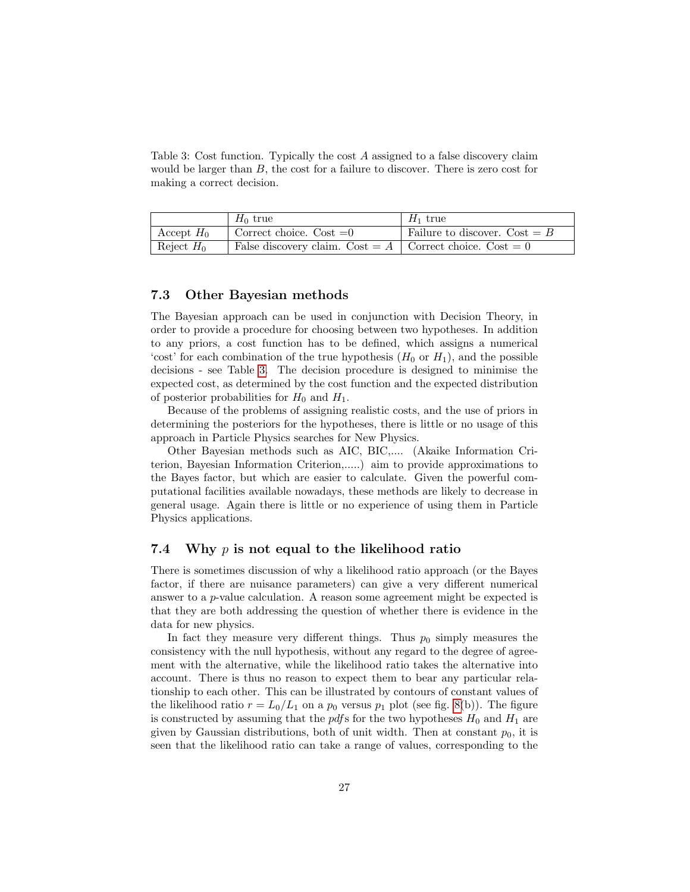<span id="page-26-0"></span>Table 3: Cost function. Typically the cost A assigned to a false discovery claim would be larger than B, the cost for a failure to discover. There is zero cost for making a correct decision.

|              | $H_0$ true                                                   | $H_1$ true                      |
|--------------|--------------------------------------------------------------|---------------------------------|
| Accept $H_0$ | Correct choice. Cost $=0$                                    | Failure to discover. Cost = $B$ |
| Reject $H_0$ | False discovery claim. Cost = $A$   Correct choice. Cost = 0 |                                 |

#### 7.3 Other Bayesian methods

The Bayesian approach can be used in conjunction with Decision Theory, in order to provide a procedure for choosing between two hypotheses. In addition to any priors, a cost function has to be defined, which assigns a numerical 'cost' for each combination of the true hypothesis  $(H_0 \text{ or } H_1)$ , and the possible decisions - see Table [3.](#page-26-0) The decision procedure is designed to minimise the expected cost, as determined by the cost function and the expected distribution of posterior probabilities for  $H_0$  and  $H_1$ .

Because of the problems of assigning realistic costs, and the use of priors in determining the posteriors for the hypotheses, there is little or no usage of this approach in Particle Physics searches for New Physics.

Other Bayesian methods such as AIC, BIC,.... (Akaike Information Criterion, Bayesian Information Criterion,.....) aim to provide approximations to the Bayes factor, but which are easier to calculate. Given the powerful computational facilities available nowadays, these methods are likely to decrease in general usage. Again there is little or no experience of using them in Particle Physics applications.

#### 7.4 Why  $p$  is not equal to the likelihood ratio

There is sometimes discussion of why a likelihood ratio approach (or the Bayes factor, if there are nuisance parameters) can give a very different numerical answer to a p-value calculation. A reason some agreement might be expected is that they are both addressing the question of whether there is evidence in the data for new physics.

In fact they measure very different things. Thus  $p_0$  simply measures the consistency with the null hypothesis, without any regard to the degree of agreement with the alternative, while the likelihood ratio takes the alternative into account. There is thus no reason to expect them to bear any particular relationship to each other. This can be illustrated by contours of constant values of the likelihood ratio  $r = L_0/L_1$  on a  $p_0$  versus  $p_1$  plot (see fig. [8\(](#page-21-0)b)). The figure is constructed by assuming that the *pdf* s for the two hypotheses  $H_0$  and  $H_1$  are given by Gaussian distributions, both of unit width. Then at constant  $p_0$ , it is seen that the likelihood ratio can take a range of values, corresponding to the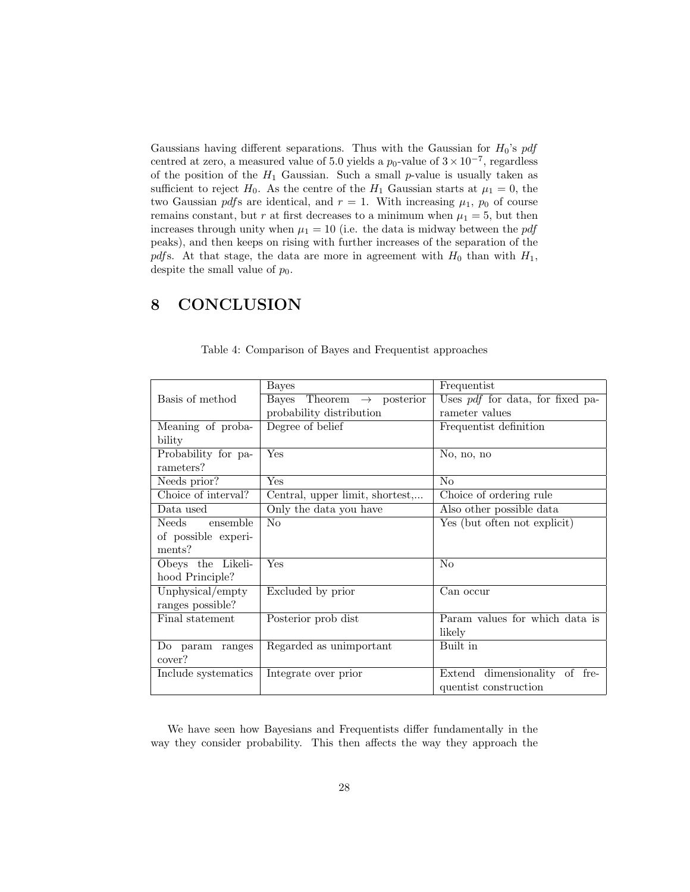Gaussians having different separations. Thus with the Gaussian for  $H_0$ 's  $pdf$ centred at zero, a measured value of 5.0 yields a  $p_0$ -value of  $3 \times 10^{-7}$ , regardless of the position of the  $H_1$  Gaussian. Such a small p-value is usually taken as sufficient to reject  $H_0$ . As the centre of the  $H_1$  Gaussian starts at  $\mu_1 = 0$ , the two Gaussian *pdfs* are identical, and  $r = 1$ . With increasing  $\mu_1$ ,  $p_0$  of course remains constant, but r at first decreases to a minimum when  $\mu_1 = 5$ , but then increases through unity when  $\mu_1 = 10$  (i.e. the data is midway between the *pdf* peaks), and then keeps on rising with further increases of the separation of the pdfs. At that stage, the data are more in agreement with  $H_0$  than with  $H_1$ , despite the small value of  $p_0$ .

# 8 CONCLUSION

|                     | <b>Bayes</b>                          | Frequentist                        |
|---------------------|---------------------------------------|------------------------------------|
| Basis of method     | Bayes Theorem $\rightarrow$ posterior | Uses $pdf$ for data, for fixed pa- |
|                     | probability distribution              | rameter values                     |
| Meaning of proba-   | Degree of belief                      | Frequentist definition             |
| bility              |                                       |                                    |
| Probability for pa- | Yes                                   | No, no, no                         |
| rameters?           |                                       |                                    |
| Needs prior?        | Yes                                   | N <sub>o</sub>                     |
| Choice of interval? | Central, upper limit, shortest,       | Choice of ordering rule            |
| Data used           | Only the data you have                | Also other possible data           |
| Needs<br>ensemble   | No                                    | Yes (but often not explicit)       |
| of possible experi- |                                       |                                    |
| ments?              |                                       |                                    |
| Obeys the Likeli-   | Yes                                   | N <sub>o</sub>                     |
| hood Principle?     |                                       |                                    |
| Unphysical/empty    | Excluded by prior                     | Can occur                          |
| ranges possible?    |                                       |                                    |
| Final statement     | Posterior prob dist                   | Param values for which data is     |
|                     |                                       | likely                             |
| Do param ranges     | Regarded as unimportant               | Built in                           |
| cover?              |                                       |                                    |
| Include systematics | Integrate over prior                  | Extend dimensionality of fre-      |
|                     |                                       | quentist construction              |

<span id="page-27-0"></span>Table 4: Comparison of Bayes and Frequentist approaches

We have seen how Bayesians and Frequentists differ fundamentally in the way they consider probability. This then affects the way they approach the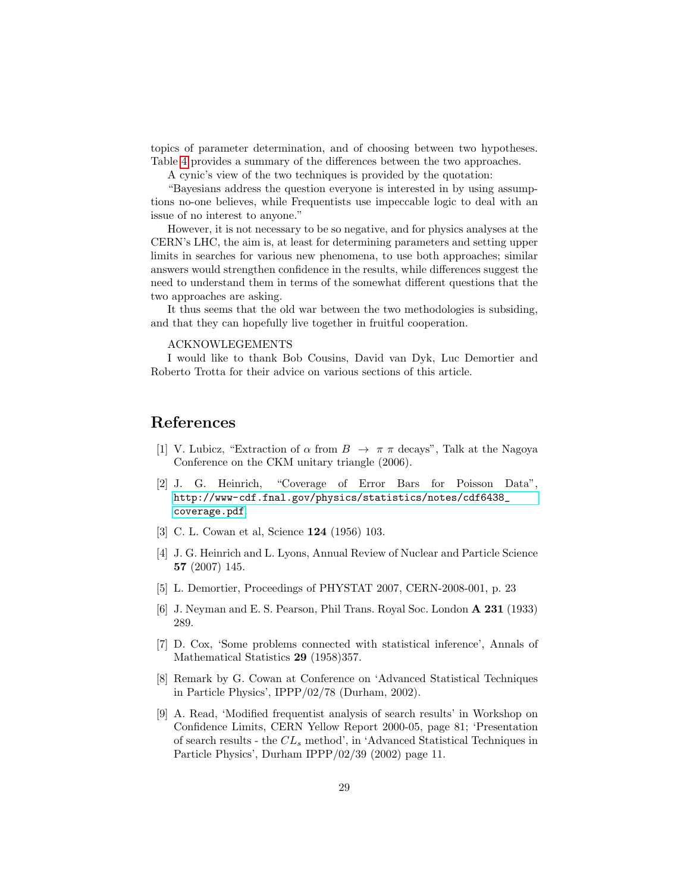topics of parameter determination, and of choosing between two hypotheses. Table [4](#page-27-0) provides a summary of the differences between the two approaches.

A cynic's view of the two techniques is provided by the quotation:

"Bayesians address the question everyone is interested in by using assumptions no-one believes, while Frequentists use impeccable logic to deal with an issue of no interest to anyone."

However, it is not necessary to be so negative, and for physics analyses at the CERN's LHC, the aim is, at least for determining parameters and setting upper limits in searches for various new phenomena, to use both approaches; similar answers would strengthen confidence in the results, while differences suggest the need to understand them in terms of the somewhat different questions that the two approaches are asking.

It thus seems that the old war between the two methodologies is subsiding, and that they can hopefully live together in fruitful cooperation.

#### ACKNOWLEGEMENTS

I would like to thank Bob Cousins, David van Dyk, Luc Demortier and Roberto Trotta for their advice on various sections of this article.

# References

- <span id="page-28-0"></span>[1] V. Lubicz, "Extraction of  $\alpha$  from  $B \to \pi \pi$  decays", Talk at the Nagoya Conference on the CKM unitary triangle (2006).
- <span id="page-28-1"></span>[2] J. G. Heinrich, "Coverage of Error Bars for Poisson Data", [http://www-cdf.fnal.gov/physics/statistics/notes/cdf6438\\_](http://www-cdf.fnal.gov/physics/statistics/notes/cdf6438_coverage.pdf) [coverage.pdf](http://www-cdf.fnal.gov/physics/statistics/notes/cdf6438_coverage.pdf).
- <span id="page-28-2"></span>[3] C. L. Cowan et al, Science **124** (1956) 103.
- <span id="page-28-3"></span>[4] J. G. Heinrich and L. Lyons, Annual Review of Nuclear and Particle Science 57 (2007) 145.
- <span id="page-28-4"></span>[5] L. Demortier, Proceedings of PHYSTAT 2007, CERN-2008-001, p. 23
- <span id="page-28-5"></span>[6] J. Neyman and E. S. Pearson, Phil Trans. Royal Soc. London A 231 (1933) 289.
- <span id="page-28-6"></span>[7] D. Cox, 'Some problems connected with statistical inference', Annals of Mathematical Statistics 29 (1958)357.
- <span id="page-28-7"></span>[8] Remark by G. Cowan at Conference on 'Advanced Statistical Techniques in Particle Physics', IPPP/02/78 (Durham, 2002).
- <span id="page-28-8"></span>[9] A. Read, 'Modified frequentist analysis of search results' in Workshop on Confidence Limits, CERN Yellow Report 2000-05, page 81; 'Presentation of search results - the  $CL_s$  method', in 'Advanced Statistical Techniques in Particle Physics', Durham IPPP/02/39 (2002) page 11.